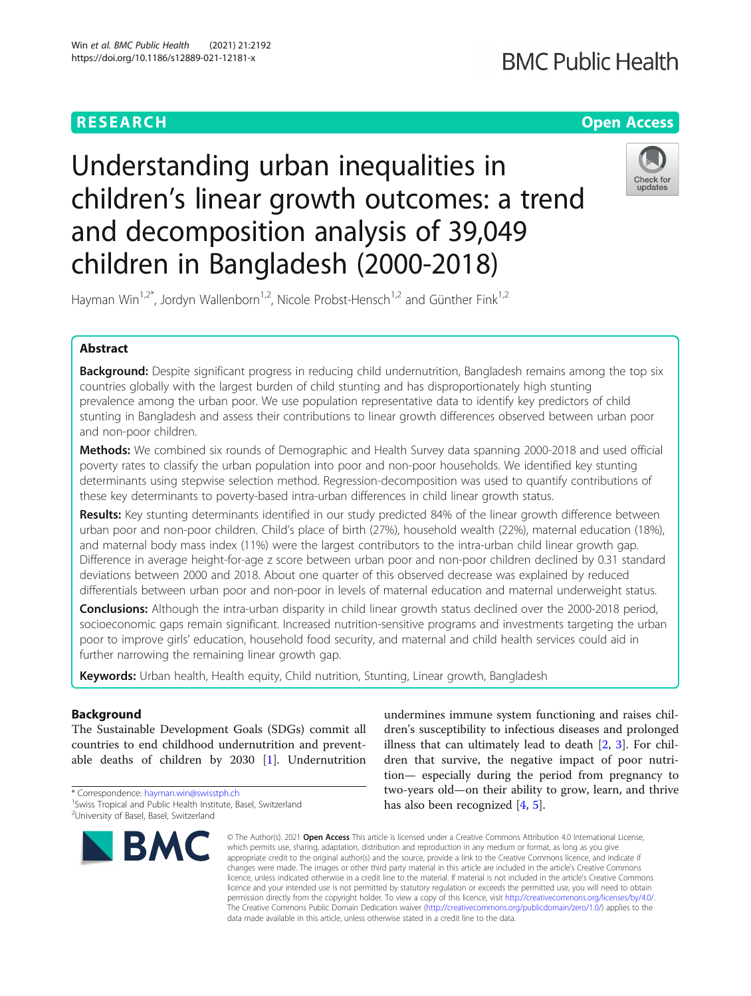# **RESEARCH CHE Open Access**

# **BMC Public Health**

# Understanding urban inequalities in children's linear growth outcomes: a trend and decomposition analysis of 39,049 children in Bangladesh (2000-2018)



Hayman Win<sup>1,2\*</sup>, Jordyn Wallenborn<sup>1,2</sup>, Nicole Probst-Hensch<sup>1,2</sup> and Günther Fink<sup>1,2</sup>

# Abstract

Background: Despite significant progress in reducing child undernutrition, Bangladesh remains among the top six countries globally with the largest burden of child stunting and has disproportionately high stunting prevalence among the urban poor. We use population representative data to identify key predictors of child stunting in Bangladesh and assess their contributions to linear growth differences observed between urban poor and non-poor children.

Methods: We combined six rounds of Demographic and Health Survey data spanning 2000-2018 and used official poverty rates to classify the urban population into poor and non-poor households. We identified key stunting determinants using stepwise selection method. Regression-decomposition was used to quantify contributions of these key determinants to poverty-based intra-urban differences in child linear growth status.

Results: Key stunting determinants identified in our study predicted 84% of the linear growth difference between urban poor and non-poor children. Child's place of birth (27%), household wealth (22%), maternal education (18%), and maternal body mass index (11%) were the largest contributors to the intra-urban child linear growth gap. Difference in average height-for-age z score between urban poor and non-poor children declined by 0.31 standard deviations between 2000 and 2018. About one quarter of this observed decrease was explained by reduced differentials between urban poor and non-poor in levels of maternal education and maternal underweight status.

**Conclusions:** Although the intra-urban disparity in child linear growth status declined over the 2000-2018 period, socioeconomic gaps remain significant. Increased nutrition-sensitive programs and investments targeting the urban poor to improve girls' education, household food security, and maternal and child health services could aid in further narrowing the remaining linear growth gap.

Keywords: Urban health, Health equity, Child nutrition, Stunting, Linear growth, Bangladesh

# Background

The Sustainable Development Goals (SDGs) commit all countries to end childhood undernutrition and preventable deaths of children by  $2030$  [[1\]](#page-16-0). Undernutrition

\* Correspondence: [hayman.win@swisstph.ch](mailto:hayman.win@swisstph.ch) <sup>1</sup> <sup>1</sup> Swiss Tropical and Public Health Institute, Basel, Switzerland <sup>2</sup>University of Basel, Basel, Switzerland



undermines immune system functioning and raises children's susceptibility to infectious diseases and prolonged illness that can ultimately lead to death [[2,](#page-16-0) [3](#page-16-0)]. For children that survive, the negative impact of poor nutrition— especially during the period from pregnancy to two-years old—on their ability to grow, learn, and thrive has also been recognized [\[4](#page-16-0), [5](#page-16-0)].

© The Author(s), 2021 **Open Access** This article is licensed under a Creative Commons Attribution 4.0 International License, which permits use, sharing, adaptation, distribution and reproduction in any medium or format, as long as you give appropriate credit to the original author(s) and the source, provide a link to the Creative Commons licence, and indicate if changes were made. The images or other third party material in this article are included in the article's Creative Commons licence, unless indicated otherwise in a credit line to the material. If material is not included in the article's Creative Commons licence and your intended use is not permitted by statutory regulation or exceeds the permitted use, you will need to obtain permission directly from the copyright holder. To view a copy of this licence, visit [http://creativecommons.org/licenses/by/4.0/.](http://creativecommons.org/licenses/by/4.0/) The Creative Commons Public Domain Dedication waiver [\(http://creativecommons.org/publicdomain/zero/1.0/](http://creativecommons.org/publicdomain/zero/1.0/)) applies to the data made available in this article, unless otherwise stated in a credit line to the data.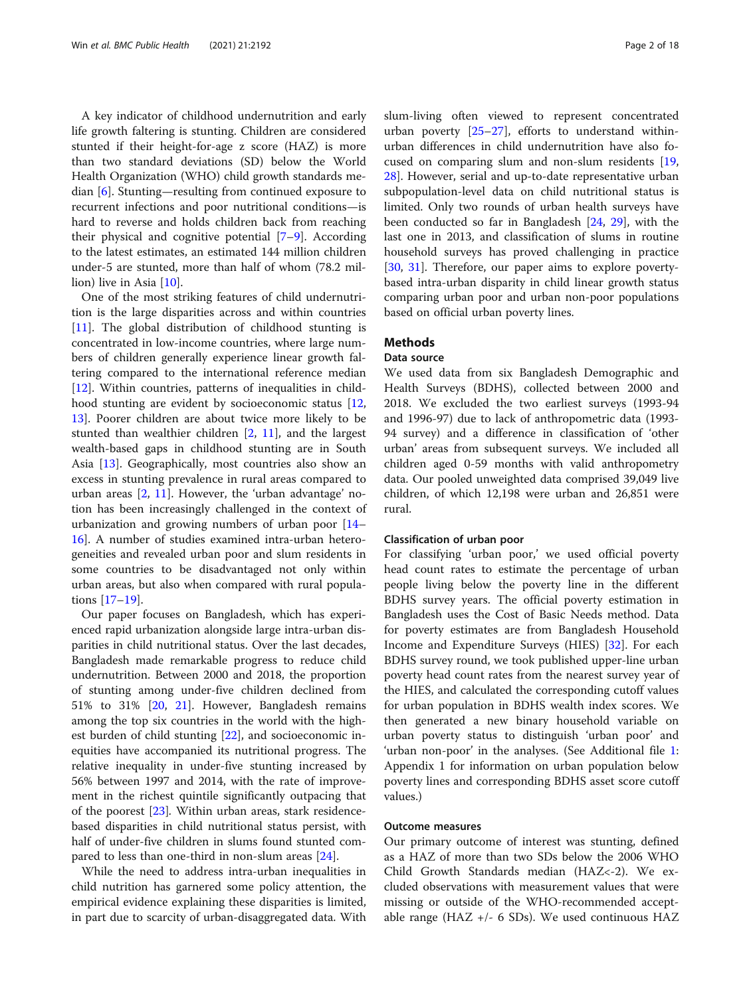A key indicator of childhood undernutrition and early life growth faltering is stunting. Children are considered stunted if their height-for-age z score (HAZ) is more than two standard deviations (SD) below the World Health Organization (WHO) child growth standards median [\[6](#page-16-0)]. Stunting—resulting from continued exposure to recurrent infections and poor nutritional conditions—is hard to reverse and holds children back from reaching their physical and cognitive potential [\[7](#page-16-0)–[9](#page-16-0)]. According to the latest estimates, an estimated 144 million children under-5 are stunted, more than half of whom (78.2 million) live in Asia [\[10\]](#page-16-0).

One of the most striking features of child undernutrition is the large disparities across and within countries [[11\]](#page-16-0). The global distribution of childhood stunting is concentrated in low-income countries, where large numbers of children generally experience linear growth faltering compared to the international reference median [[12\]](#page-16-0). Within countries, patterns of inequalities in childhood stunting are evident by socioeconomic status [[12](#page-16-0), [13\]](#page-16-0). Poorer children are about twice more likely to be stunted than wealthier children [[2,](#page-16-0) [11\]](#page-16-0), and the largest wealth-based gaps in childhood stunting are in South Asia [[13\]](#page-16-0). Geographically, most countries also show an excess in stunting prevalence in rural areas compared to urban areas  $[2, 11]$  $[2, 11]$  $[2, 11]$  $[2, 11]$  $[2, 11]$ . However, the 'urban advantage' notion has been increasingly challenged in the context of urbanization and growing numbers of urban poor [[14](#page-16-0)– [16\]](#page-16-0). A number of studies examined intra-urban heterogeneities and revealed urban poor and slum residents in some countries to be disadvantaged not only within urban areas, but also when compared with rural populations [[17](#page-16-0)–[19](#page-17-0)].

Our paper focuses on Bangladesh, which has experienced rapid urbanization alongside large intra-urban disparities in child nutritional status. Over the last decades, Bangladesh made remarkable progress to reduce child undernutrition. Between 2000 and 2018, the proportion of stunting among under-five children declined from 51% to 31% [[20,](#page-17-0) [21\]](#page-17-0). However, Bangladesh remains among the top six countries in the world with the highest burden of child stunting [\[22](#page-17-0)], and socioeconomic inequities have accompanied its nutritional progress. The relative inequality in under-five stunting increased by 56% between 1997 and 2014, with the rate of improvement in the richest quintile significantly outpacing that of the poorest [\[23](#page-17-0)]. Within urban areas, stark residencebased disparities in child nutritional status persist, with half of under-five children in slums found stunted compared to less than one-third in non-slum areas [[24\]](#page-17-0).

While the need to address intra-urban inequalities in child nutrition has garnered some policy attention, the empirical evidence explaining these disparities is limited, in part due to scarcity of urban-disaggregated data. With slum-living often viewed to represent concentrated urban poverty [\[25](#page-17-0)–[27\]](#page-17-0), efforts to understand withinurban differences in child undernutrition have also focused on comparing slum and non-slum residents [[19](#page-17-0), [28\]](#page-17-0). However, serial and up-to-date representative urban subpopulation-level data on child nutritional status is limited. Only two rounds of urban health surveys have been conducted so far in Bangladesh [\[24](#page-17-0), [29](#page-17-0)], with the last one in 2013, and classification of slums in routine household surveys has proved challenging in practice [[30,](#page-17-0) [31\]](#page-17-0). Therefore, our paper aims to explore povertybased intra-urban disparity in child linear growth status comparing urban poor and urban non-poor populations based on official urban poverty lines.

# **Methods**

# Data source

We used data from six Bangladesh Demographic and Health Surveys (BDHS), collected between 2000 and 2018. We excluded the two earliest surveys (1993-94 and 1996-97) due to lack of anthropometric data (1993- 94 survey) and a difference in classification of 'other urban' areas from subsequent surveys. We included all children aged 0-59 months with valid anthropometry data. Our pooled unweighted data comprised 39,049 live children, of which 12,198 were urban and 26,851 were rural.

### Classification of urban poor

For classifying 'urban poor,' we used official poverty head count rates to estimate the percentage of urban people living below the poverty line in the different BDHS survey years. The official poverty estimation in Bangladesh uses the Cost of Basic Needs method. Data for poverty estimates are from Bangladesh Household Income and Expenditure Surveys (HIES) [[32\]](#page-17-0). For each BDHS survey round, we took published upper-line urban poverty head count rates from the nearest survey year of the HIES, and calculated the corresponding cutoff values for urban population in BDHS wealth index scores. We then generated a new binary household variable on urban poverty status to distinguish 'urban poor' and 'urban non-poor' in the analyses. (See Additional file [1](#page-16-0): Appendix 1 for information on urban population below poverty lines and corresponding BDHS asset score cutoff values.)

# Outcome measures

Our primary outcome of interest was stunting, defined as a HAZ of more than two SDs below the 2006 WHO Child Growth Standards median (HAZ<-2). We excluded observations with measurement values that were missing or outside of the WHO-recommended acceptable range (HAZ +/- 6 SDs). We used continuous HAZ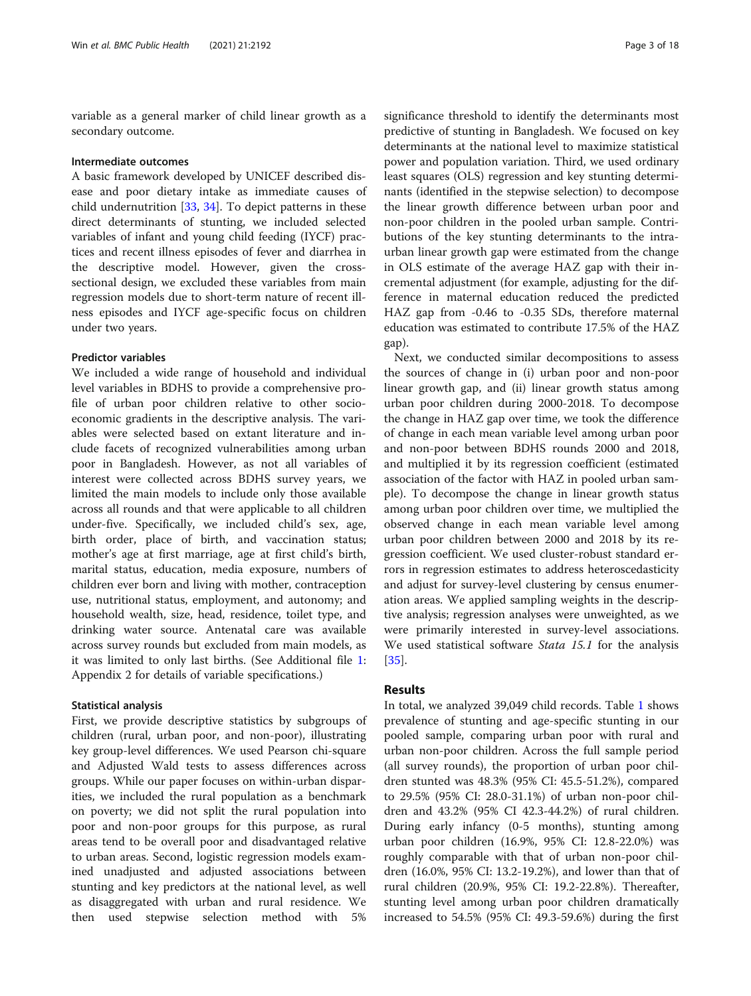variable as a general marker of child linear growth as a secondary outcome.

#### Intermediate outcomes

A basic framework developed by UNICEF described disease and poor dietary intake as immediate causes of child undernutrition [\[33](#page-17-0), [34](#page-17-0)]. To depict patterns in these direct determinants of stunting, we included selected variables of infant and young child feeding (IYCF) practices and recent illness episodes of fever and diarrhea in the descriptive model. However, given the crosssectional design, we excluded these variables from main regression models due to short-term nature of recent illness episodes and IYCF age-specific focus on children under two years.

# Predictor variables

We included a wide range of household and individual level variables in BDHS to provide a comprehensive profile of urban poor children relative to other socioeconomic gradients in the descriptive analysis. The variables were selected based on extant literature and include facets of recognized vulnerabilities among urban poor in Bangladesh. However, as not all variables of interest were collected across BDHS survey years, we limited the main models to include only those available across all rounds and that were applicable to all children under-five. Specifically, we included child's sex, age, birth order, place of birth, and vaccination status; mother's age at first marriage, age at first child's birth, marital status, education, media exposure, numbers of children ever born and living with mother, contraception use, nutritional status, employment, and autonomy; and household wealth, size, head, residence, toilet type, and drinking water source. Antenatal care was available across survey rounds but excluded from main models, as it was limited to only last births. (See Additional file [1](#page-16-0): Appendix 2 for details of variable specifications.)

# Statistical analysis

First, we provide descriptive statistics by subgroups of children (rural, urban poor, and non-poor), illustrating key group-level differences. We used Pearson chi-square and Adjusted Wald tests to assess differences across groups. While our paper focuses on within-urban disparities, we included the rural population as a benchmark on poverty; we did not split the rural population into poor and non-poor groups for this purpose, as rural areas tend to be overall poor and disadvantaged relative to urban areas. Second, logistic regression models examined unadjusted and adjusted associations between stunting and key predictors at the national level, as well as disaggregated with urban and rural residence. We then used stepwise selection method with 5%

significance threshold to identify the determinants most predictive of stunting in Bangladesh. We focused on key determinants at the national level to maximize statistical power and population variation. Third, we used ordinary least squares (OLS) regression and key stunting determinants (identified in the stepwise selection) to decompose the linear growth difference between urban poor and non-poor children in the pooled urban sample. Contributions of the key stunting determinants to the intraurban linear growth gap were estimated from the change in OLS estimate of the average HAZ gap with their incremental adjustment (for example, adjusting for the difference in maternal education reduced the predicted HAZ gap from -0.46 to -0.35 SDs, therefore maternal education was estimated to contribute 17.5% of the HAZ gap).

Next, we conducted similar decompositions to assess the sources of change in (i) urban poor and non-poor linear growth gap, and (ii) linear growth status among urban poor children during 2000-2018. To decompose the change in HAZ gap over time, we took the difference of change in each mean variable level among urban poor and non-poor between BDHS rounds 2000 and 2018, and multiplied it by its regression coefficient (estimated association of the factor with HAZ in pooled urban sample). To decompose the change in linear growth status among urban poor children over time, we multiplied the observed change in each mean variable level among urban poor children between 2000 and 2018 by its regression coefficient. We used cluster-robust standard errors in regression estimates to address heteroscedasticity and adjust for survey-level clustering by census enumeration areas. We applied sampling weights in the descriptive analysis; regression analyses were unweighted, as we were primarily interested in survey-level associations. We used statistical software Stata 15.1 for the analysis [[35\]](#page-17-0).

# Results

In total, we analyzed 39,049 child records. Table [1](#page-3-0) shows prevalence of stunting and age-specific stunting in our pooled sample, comparing urban poor with rural and urban non-poor children. Across the full sample period (all survey rounds), the proportion of urban poor children stunted was 48.3% (95% CI: 45.5-51.2%), compared to 29.5% (95% CI: 28.0-31.1%) of urban non-poor children and 43.2% (95% CI 42.3-44.2%) of rural children. During early infancy (0-5 months), stunting among urban poor children (16.9%, 95% CI: 12.8-22.0%) was roughly comparable with that of urban non-poor children (16.0%, 95% CI: 13.2-19.2%), and lower than that of rural children (20.9%, 95% CI: 19.2-22.8%). Thereafter, stunting level among urban poor children dramatically increased to 54.5% (95% CI: 49.3-59.6%) during the first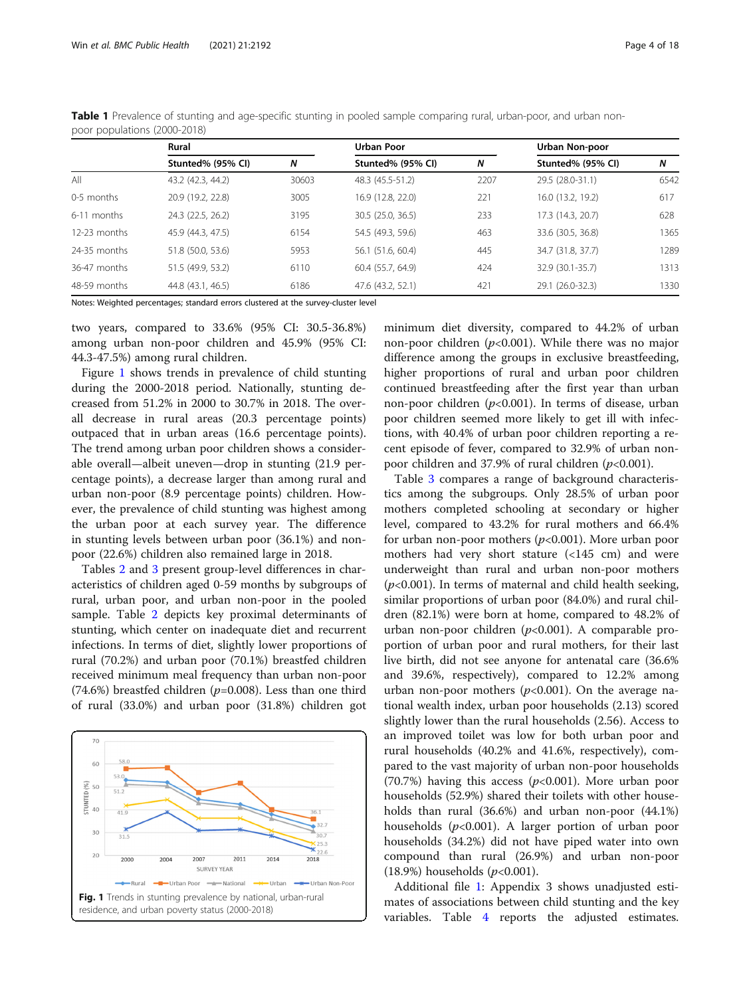|                | Rural             |       | Urban Poor        |      | Urban Non-poor    |      |
|----------------|-------------------|-------|-------------------|------|-------------------|------|
|                | Stunted% (95% CI) | N     | Stunted% (95% CI) | N    | Stunted% (95% CI) | N    |
| All            | 43.2 (42.3, 44.2) | 30603 | 48.3 (45.5-51.2)  | 2207 | 29.5 (28.0-31.1)  | 6542 |
| 0-5 months     | 20.9 (19.2, 22.8) | 3005  | 16.9 (12.8, 22.0) | 221  | 16.0 (13.2, 19.2) | 617  |
| 6-11 months    | 24.3 (22.5, 26.2) | 3195  | 30.5 (25.0, 36.5) | 233  | 17.3 (14.3, 20.7) | 628  |
| $12-23$ months | 45.9 (44.3, 47.5) | 6154  | 54.5 (49.3, 59.6) | 463  | 33.6 (30.5, 36.8) | 1365 |
| 24-35 months   | 51.8 (50.0, 53.6) | 5953  | 56.1 (51.6, 60.4) | 445  | 34.7 (31.8, 37.7) | 1289 |
| 36-47 months   | 51.5 (49.9, 53.2) | 6110  | 60.4 (55.7, 64.9) | 424  | 32.9 (30.1-35.7)  | 1313 |
| 48-59 months   | 44.8 (43.1, 46.5) | 6186  | 47.6 (43.2, 52.1) | 421  | 29.1 (26.0-32.3)  | 1330 |

<span id="page-3-0"></span>Table 1 Prevalence of stunting and age-specific stunting in pooled sample comparing rural, urban-poor, and urban nonpoor populations (2000-2018)

Notes: Weighted percentages; standard errors clustered at the survey-cluster level

two years, compared to 33.6% (95% CI: 30.5-36.8%) among urban non-poor children and 45.9% (95% CI: 44.3-47.5%) among rural children.

Figure 1 shows trends in prevalence of child stunting during the 2000-2018 period. Nationally, stunting decreased from 51.2% in 2000 to 30.7% in 2018. The overall decrease in rural areas (20.3 percentage points) outpaced that in urban areas (16.6 percentage points). The trend among urban poor children shows a considerable overall—albeit uneven—drop in stunting (21.9 percentage points), a decrease larger than among rural and urban non-poor (8.9 percentage points) children. However, the prevalence of child stunting was highest among the urban poor at each survey year. The difference in stunting levels between urban poor (36.1%) and nonpoor (22.6%) children also remained large in 2018.

Tables [2](#page-4-0) and [3](#page-5-0) present group-level differences in characteristics of children aged 0-59 months by subgroups of rural, urban poor, and urban non-poor in the pooled sample. Table [2](#page-4-0) depicts key proximal determinants of stunting, which center on inadequate diet and recurrent infections. In terms of diet, slightly lower proportions of rural (70.2%) and urban poor (70.1%) breastfed children received minimum meal frequency than urban non-poor (74.6%) breastfed children ( $p=0.008$ ). Less than one third of rural (33.0%) and urban poor (31.8%) children got



minimum diet diversity, compared to 44.2% of urban non-poor children ( $p$ <0.001). While there was no major difference among the groups in exclusive breastfeeding, higher proportions of rural and urban poor children continued breastfeeding after the first year than urban non-poor children ( $p<0.001$ ). In terms of disease, urban poor children seemed more likely to get ill with infections, with 40.4% of urban poor children reporting a recent episode of fever, compared to 32.9% of urban nonpoor children and 37.9% of rural children ( $p<0.001$ ).

Table [3](#page-5-0) compares a range of background characteristics among the subgroups. Only 28.5% of urban poor mothers completed schooling at secondary or higher level, compared to 43.2% for rural mothers and 66.4% for urban non-poor mothers  $(p<0.001)$ . More urban poor mothers had very short stature (<145 cm) and were underweight than rural and urban non-poor mothers  $(p<0.001)$ . In terms of maternal and child health seeking, similar proportions of urban poor (84.0%) and rural children (82.1%) were born at home, compared to 48.2% of urban non-poor children  $(p<0.001)$ . A comparable proportion of urban poor and rural mothers, for their last live birth, did not see anyone for antenatal care (36.6% and 39.6%, respectively), compared to 12.2% among urban non-poor mothers  $(p<0.001)$ . On the average national wealth index, urban poor households (2.13) scored slightly lower than the rural households (2.56). Access to an improved toilet was low for both urban poor and rural households (40.2% and 41.6%, respectively), compared to the vast majority of urban non-poor households (70.7%) having this access ( $p<0.001$ ). More urban poor households (52.9%) shared their toilets with other households than rural (36.6%) and urban non-poor (44.1%) households  $(p<0.001)$ . A larger portion of urban poor households (34.2%) did not have piped water into own compound than rural (26.9%) and urban non-poor  $(18.9%)$  households  $(p<0.001)$ .

Additional file [1](#page-16-0): Appendix 3 shows unadjusted estimates of associations between child stunting and the key variables. Table [4](#page-7-0) reports the adjusted estimates.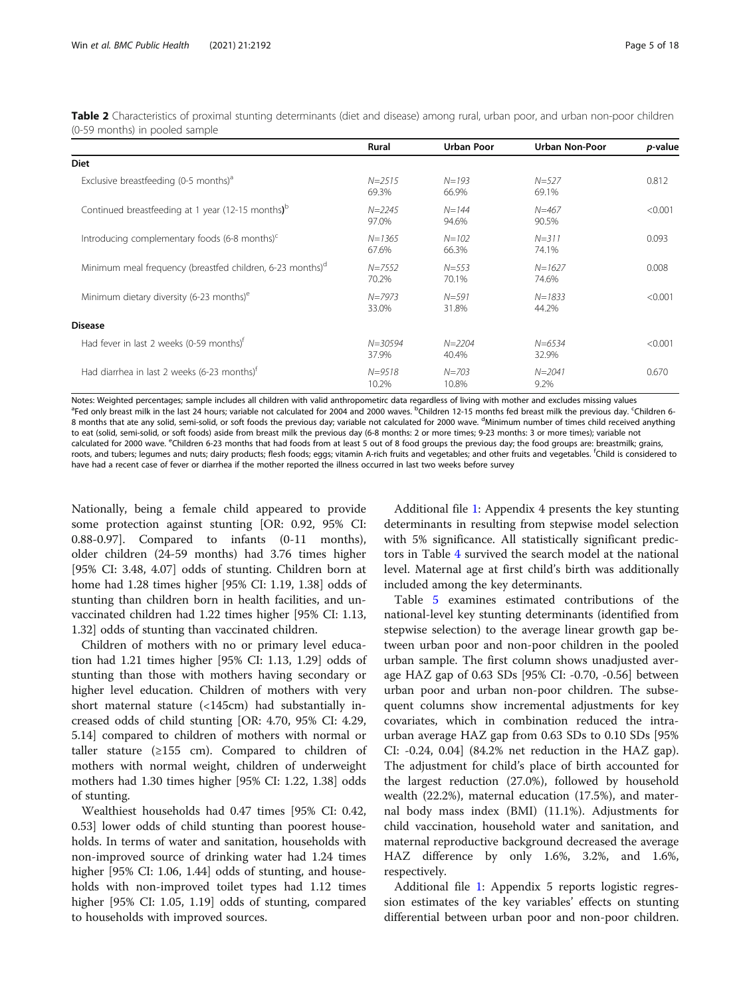<span id="page-4-0"></span>Table 2 Characteristics of proximal stunting determinants (diet and disease) among rural, urban poor, and urban non-poor children (0-59 months) in pooled sample

|                                                                       | Rural                | <b>Urban Poor</b>   | <b>Urban Non-Poor</b> | <i>p</i> -value |
|-----------------------------------------------------------------------|----------------------|---------------------|-----------------------|-----------------|
| <b>Diet</b>                                                           |                      |                     |                       |                 |
| Exclusive breastfeeding (0-5 months) <sup>a</sup>                     | $N = 2515$<br>69.3%  | $N = 193$<br>66.9%  | $N = 527$<br>69.1%    | 0.812           |
| Continued breastfeeding at 1 year (12-15 months) <sup>b</sup>         | $N = 2245$<br>97.0%  | $N = 144$<br>94.6%  | $N = 467$<br>90.5%    | < 0.001         |
| Introducing complementary foods (6-8 months) <sup>c</sup>             | $N = 1365$<br>67.6%  | $N = 102$<br>66.3%  | $N = 311$<br>74.1%    | 0.093           |
| Minimum meal frequency (breastfed children, 6-23 months) <sup>d</sup> | $N = 7552$<br>70.2%  | $N = 553$<br>70.1%  | $N = 1627$<br>74.6%   | 0.008           |
| Minimum dietary diversity (6-23 months) <sup>e</sup>                  | $N = 7973$<br>33.0%  | $N = 591$<br>31.8%  | $N = 1833$<br>44.2%   | < 0.001         |
| <b>Disease</b>                                                        |                      |                     |                       |                 |
| Had fever in last 2 weeks (0-59 months) <sup>t</sup>                  | $N = 30594$<br>37.9% | $N = 2204$<br>40.4% | $N = 6534$<br>32.9%   | < 0.001         |
| Had diarrhea in last 2 weeks (6-23 months) <sup>t</sup>               | $N = 9518$<br>10.2%  | $N = 703$<br>10.8%  | $N = 2041$<br>9.2%    | 0.670           |

Notes: Weighted percentages; sample includes all children with valid anthropometirc data regardless of living with mother and excludes missing values Fed only breast milk in the last 24 hours; variable not calculated for 2004 and 2000 waves. <sup>b</sup>Children 12-15 months fed breast milk the previous day. <sup>c</sup>Children 6-8 months that ate any solid, semi-solid, or soft foods the previous day; variable not calculated for 2000 wave. <sup>d</sup>Minimum number of times child received anything to eat (solid, semi-solid, or soft foods) aside from breast milk the previous day (6-8 months: 2 or more times; 9-23 months: 3 or more times); variable not calculated for 2000 wave. <sup>e</sup>Children 6-23 months that had foods from at least 5 out of 8 food groups the previous day; the food groups are: breastmilk; grains, roots, and tubers; legumes and nuts; dairy products; flesh foods; eggs; vitamin A-rich fruits and vegetables; and other fruits and vegetables. <sup>f</sup>Child is considered to have had a recent case of fever or diarrhea if the mother reported the illness occurred in last two weeks before survey

Nationally, being a female child appeared to provide some protection against stunting [OR: 0.92, 95% CI: 0.88-0.97]. Compared to infants (0-11 months), older children (24-59 months) had 3.76 times higher [95% CI: 3.48, 4.07] odds of stunting. Children born at home had 1.28 times higher [95% CI: 1.19, 1.38] odds of stunting than children born in health facilities, and unvaccinated children had 1.22 times higher [95% CI: 1.13, 1.32] odds of stunting than vaccinated children.

Children of mothers with no or primary level education had 1.21 times higher [95% CI: 1.13, 1.29] odds of stunting than those with mothers having secondary or higher level education. Children of mothers with very short maternal stature (<145cm) had substantially increased odds of child stunting [OR: 4.70, 95% CI: 4.29, 5.14] compared to children of mothers with normal or taller stature ( $\geq$ 155 cm). Compared to children of mothers with normal weight, children of underweight mothers had 1.30 times higher [95% CI: 1.22, 1.38] odds of stunting.

Wealthiest households had 0.47 times [95% CI: 0.42, 0.53] lower odds of child stunting than poorest households. In terms of water and sanitation, households with non-improved source of drinking water had 1.24 times higher [95% CI: 1.06, 1.44] odds of stunting, and households with non-improved toilet types had 1.12 times higher [95% CI: 1.05, 1.19] odds of stunting, compared to households with improved sources.

Additional file [1](#page-16-0): Appendix 4 presents the key stunting determinants in resulting from stepwise model selection with 5% significance. All statistically significant predictors in Table [4](#page-7-0) survived the search model at the national level. Maternal age at first child's birth was additionally included among the key determinants.

Table [5](#page-9-0) examines estimated contributions of the national-level key stunting determinants (identified from stepwise selection) to the average linear growth gap between urban poor and non-poor children in the pooled urban sample. The first column shows unadjusted average HAZ gap of 0.63 SDs [95% CI: -0.70, -0.56] between urban poor and urban non-poor children. The subsequent columns show incremental adjustments for key covariates, which in combination reduced the intraurban average HAZ gap from 0.63 SDs to 0.10 SDs [95% CI: -0.24, 0.04] (84.2% net reduction in the HAZ gap). The adjustment for child's place of birth accounted for the largest reduction (27.0%), followed by household wealth (22.2%), maternal education (17.5%), and maternal body mass index (BMI) (11.1%). Adjustments for child vaccination, household water and sanitation, and maternal reproductive background decreased the average HAZ difference by only 1.6%, 3.2%, and 1.6%, respectively.

Additional file [1](#page-16-0): Appendix 5 reports logistic regression estimates of the key variables' effects on stunting differential between urban poor and non-poor children.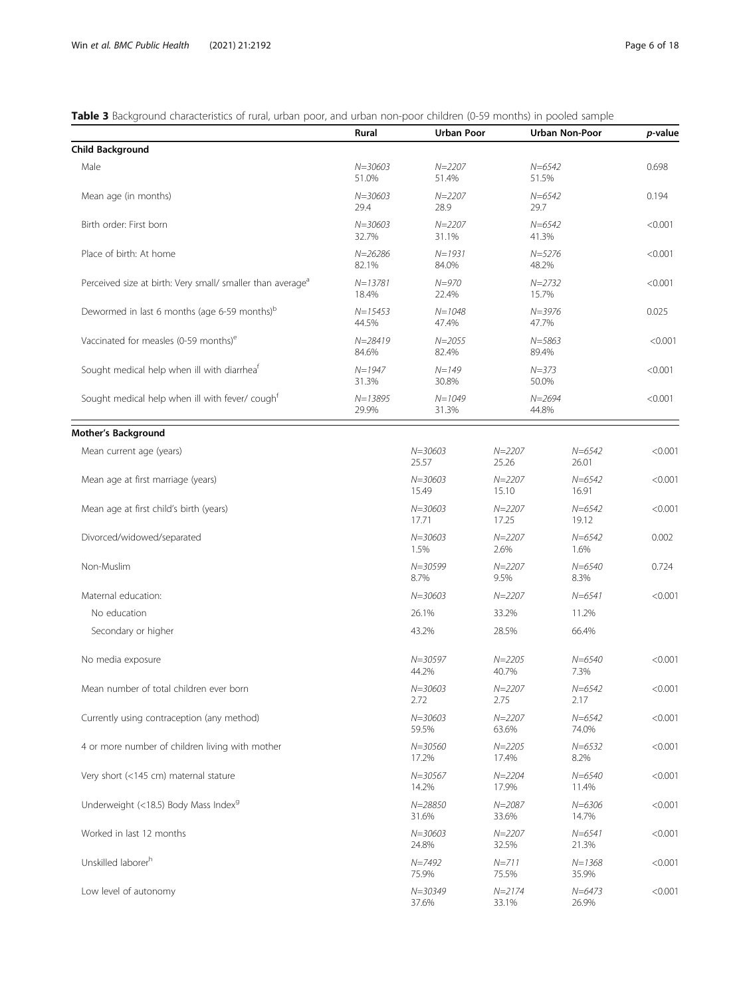# <span id="page-5-0"></span>Table 3 Background characteristics of rural, urban poor, and urban non-poor children (0-59 months) in pooled sample

|                                                                        | Rural                | <b>Urban Poor</b>    |                     | <b>Urban Non-Poor</b> | p-value |
|------------------------------------------------------------------------|----------------------|----------------------|---------------------|-----------------------|---------|
| <b>Child Background</b>                                                |                      |                      |                     |                       |         |
| Male                                                                   | $N = 30603$<br>51.0% | $N = 2207$<br>51.4%  | $N = 6542$<br>51.5% |                       | 0.698   |
| Mean age (in months)                                                   | $N = 30603$<br>29.4  | $N = 2207$<br>28.9   | $N = 6542$<br>29.7  |                       | 0.194   |
| Birth order: First born                                                | $N = 30603$<br>32.7% | $N = 2207$<br>31.1%  | $N = 6542$<br>41.3% |                       | < 0.001 |
| Place of birth: At home                                                | $N = 26286$<br>82.1% | $N = 1931$<br>84.0%  | $N = 5276$<br>48.2% |                       | < 0.001 |
| Perceived size at birth: Very small/ smaller than average <sup>a</sup> | $N = 13781$<br>18.4% | $N = 970$<br>22.4%   | $N = 2732$<br>15.7% |                       | < 0.001 |
| Dewormed in last 6 months (age 6-59 months) <sup>b</sup>               | $N = 15453$<br>44.5% | $N = 1048$<br>47.4%  | $N = 3976$<br>47.7% |                       | 0.025   |
| Vaccinated for measles (0-59 months) <sup>e</sup>                      | $N = 28419$<br>84.6% | $N = 2055$<br>82.4%  | $N = 5863$<br>89.4% |                       | < 0.001 |
| Sought medical help when ill with diarrhea <sup>t</sup>                | $N = 1947$<br>31.3%  | $N = 149$<br>30.8%   | $N = 373$<br>50.0%  |                       | < 0.001 |
| Sought medical help when ill with fever/ cough <sup>f</sup>            | $N = 13895$<br>29.9% | $N = 1049$<br>31.3%  | $N = 2694$<br>44.8% |                       | < 0.001 |
| <b>Mother's Background</b>                                             |                      |                      |                     |                       |         |
| Mean current age (years)                                               |                      | $N = 30603$<br>25.57 | $N = 2207$<br>25.26 | $N = 6542$<br>26.01   | < 0.001 |
| Mean age at first marriage (years)                                     |                      | $N = 30603$<br>15.49 | $N = 2207$<br>15.10 | $N = 6542$<br>16.91   | < 0.001 |
| Mean age at first child's birth (years)                                |                      | $N = 30603$<br>17.71 | $N = 2207$<br>17.25 | $N = 6542$<br>19.12   | < 0.001 |
| Divorced/widowed/separated                                             |                      | $N = 30603$<br>1.5%  | $N = 2207$<br>2.6%  | $N = 6542$<br>1.6%    | 0.002   |
| Non-Muslim                                                             |                      | $N = 30599$<br>8.7%  | $N = 2207$<br>9.5%  | $N = 6540$<br>8.3%    | 0.724   |
| Maternal education:                                                    |                      | $N = 30603$          | $N = 2207$          | $N = 6541$            | < 0.001 |
| No education                                                           |                      | 26.1%                | 33.2%               | 11.2%                 |         |
| Secondary or higher                                                    |                      | 43.2%                | 28.5%               | 66.4%                 |         |
| No media exposure                                                      |                      | $N = 30597$<br>44.2% | $N = 2205$<br>40.7% | $N = 6540$<br>7.3%    | < 0.001 |
| Mean number of total children ever born                                |                      | $N = 30603$<br>2.72  | $N = 2207$<br>2.75  | $N = 6542$<br>2.17    | < 0.001 |
| Currently using contraception (any method)                             |                      | $N = 30603$<br>59.5% | $N = 2207$<br>63.6% | $N = 6542$<br>74.0%   | < 0.001 |
| 4 or more number of children living with mother                        |                      | $N = 30560$<br>17.2% | $N = 2205$<br>17.4% | $N = 6532$<br>8.2%    | < 0.001 |
| Very short (<145 cm) maternal stature                                  |                      | $N = 30567$<br>14.2% | $N = 2204$<br>17.9% | $N = 6540$<br>11.4%   | < 0.001 |
| Underweight (<18.5) Body Mass Index <sup>9</sup>                       |                      | $N = 28850$<br>31.6% | $N = 2087$<br>33.6% | $N = 6306$<br>14.7%   | < 0.001 |
| Worked in last 12 months                                               |                      | $N = 30603$<br>24.8% | $N = 2207$<br>32.5% | $N = 6541$<br>21.3%   | < 0.001 |
| Unskilled laborer <sup>h</sup>                                         |                      | $N = 7492$<br>75.9%  | $N = 711$<br>75.5%  | $N = 1368$<br>35.9%   | < 0.001 |
| Low level of autonomy                                                  |                      | $N = 30349$<br>37.6% | $N = 2174$<br>33.1% | $N = 6473$<br>26.9%   | < 0.001 |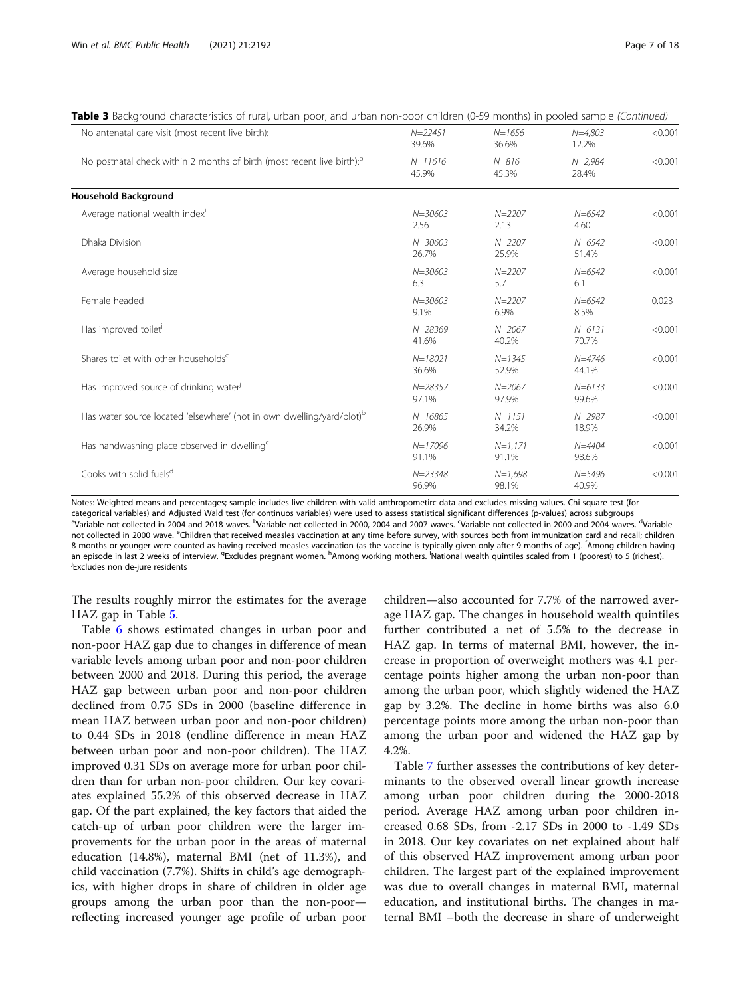| No antenatal care visit (most recent live birth):                                  | $N = 22451$<br>39.6% | $N = 1656$<br>36.6% | $N = 4.803$<br>12.2% | < 0.001 |
|------------------------------------------------------------------------------------|----------------------|---------------------|----------------------|---------|
| No postnatal check within 2 months of birth (most recent live birth). <sup>b</sup> | $N = 11616$<br>45.9% | $N = 816$<br>45.3%  | $N = 2,984$<br>28.4% | < 0.001 |
| <b>Household Background</b>                                                        |                      |                     |                      |         |
| Average national wealth index <sup>1</sup>                                         | $N = 30603$<br>2.56  | $N = 2207$<br>2.13  | $N = 6542$<br>4.60   | < 0.001 |
| Dhaka Division                                                                     | $N = 30603$<br>26.7% | $N = 2207$<br>25.9% | $N = 6542$<br>51.4%  | < 0.001 |
| Average household size                                                             | $N = 30603$<br>6.3   | $N = 2207$<br>5.7   | $N = 6542$<br>6.1    | < 0.001 |
| Female headed                                                                      | $N = 30603$<br>9.1%  | $N = 2207$<br>6.9%  | $N = 6542$<br>8.5%   | 0.023   |
| Has improved toilet <sup>j</sup>                                                   | $N = 28369$<br>41.6% | $N = 2067$<br>40.2% | $N = 6131$<br>70.7%  | < 0.001 |
| Shares toilet with other households <sup>c</sup>                                   | $N = 18021$<br>36.6% | $N = 1345$<br>52.9% | $N = 4746$<br>44.1%  | < 0.001 |
| Has improved source of drinking water <sup>j</sup>                                 | $N = 28357$<br>97.1% | $N = 2067$<br>97.9% | $N = 6133$<br>99.6%  | < 0.001 |
| Has water source located 'elsewhere' (not in own dwelling/yard/plot) <sup>b</sup>  | $N = 16865$<br>26.9% | $N = 1151$<br>34.2% | $N = 2987$<br>18.9%  | < 0.001 |
| Has handwashing place observed in dwelling <sup>c</sup>                            | $N = 17096$<br>91.1% | $N=1,171$<br>91.1%  | $N = 4404$<br>98.6%  | < 0.001 |
| Cooks with solid fuels <sup>d</sup>                                                | $N = 23348$<br>96.9% | $N=1,698$<br>98.1%  | $N = 5496$<br>40.9%  | < 0.001 |

|  | Table 3 Background characteristics of rural, urban poor, and urban non-poor children (0-59 months) in pooled sample (Continued) |  |  |  |
|--|---------------------------------------------------------------------------------------------------------------------------------|--|--|--|
|  |                                                                                                                                 |  |  |  |

Notes: Weighted means and percentages; sample includes live children with valid anthropometirc data and excludes missing values. Chi-square test (for categorical variables) and Adjusted Wald test (for continuos variables) were used to assess statistical significant differences (p-values) across subgroups <sup>a</sup> Variable not collected in 2004 and 2018 waves. <sup>b</sup>Variable not collected in 2000, 2004 and 2007 waves. <sup>G</sup>Variable not collected in 2000 and 2004 waves. <sup>d</sup>Variable not collected in 2000 wave. <sup>e</sup>Children that received measles vaccination at any time before survey, with sources both from immunization card and recall; children 8 months or younger were counted as having received measles vaccination (as the vaccine is typically given only after 9 months of age). <sup>f</sup>Among children having an episode in last 2 weeks of interview. <sup>g</sup>Excludes pregnant women. <sup>h</sup>Among working mothers. National wealth quintiles scaled from 1 (poorest) to 5 (richest).<br><sup>JExcludes non de-jure residents</sub></sup> <sup>j</sup>Excludes non de-jure residents

The results roughly mirror the estimates for the average HAZ gap in Table [5](#page-9-0).

Table [6](#page-11-0) shows estimated changes in urban poor and non-poor HAZ gap due to changes in difference of mean variable levels among urban poor and non-poor children between 2000 and 2018. During this period, the average HAZ gap between urban poor and non-poor children declined from 0.75 SDs in 2000 (baseline difference in mean HAZ between urban poor and non-poor children) to 0.44 SDs in 2018 (endline difference in mean HAZ between urban poor and non-poor children). The HAZ improved 0.31 SDs on average more for urban poor children than for urban non-poor children. Our key covariates explained 55.2% of this observed decrease in HAZ gap. Of the part explained, the key factors that aided the catch-up of urban poor children were the larger improvements for the urban poor in the areas of maternal education (14.8%), maternal BMI (net of 11.3%), and child vaccination (7.7%). Shifts in child's age demographics, with higher drops in share of children in older age groups among the urban poor than the non-poor reflecting increased younger age profile of urban poor

children—also accounted for 7.7% of the narrowed average HAZ gap. The changes in household wealth quintiles further contributed a net of 5.5% to the decrease in HAZ gap. In terms of maternal BMI, however, the increase in proportion of overweight mothers was 4.1 percentage points higher among the urban non-poor than among the urban poor, which slightly widened the HAZ gap by 3.2%. The decline in home births was also 6.0 percentage points more among the urban non-poor than among the urban poor and widened the HAZ gap by 4.2%.

Table [7](#page-13-0) further assesses the contributions of key determinants to the observed overall linear growth increase among urban poor children during the 2000-2018 period. Average HAZ among urban poor children increased 0.68 SDs, from -2.17 SDs in 2000 to -1.49 SDs in 2018. Our key covariates on net explained about half of this observed HAZ improvement among urban poor children. The largest part of the explained improvement was due to overall changes in maternal BMI, maternal education, and institutional births. The changes in maternal BMI –both the decrease in share of underweight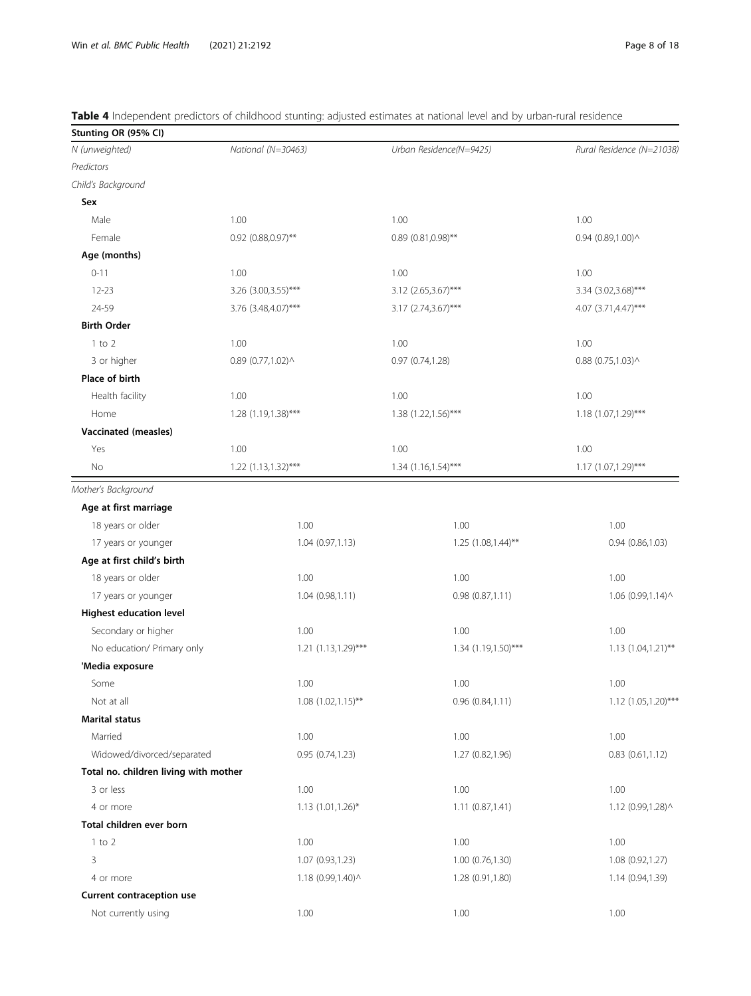| Stunting OR (95% CI)                  |                           |                          |                           |
|---------------------------------------|---------------------------|--------------------------|---------------------------|
| N (unweighted)                        | National (N=30463)        | Urban Residence(N=9425)  | Rural Residence (N=21038) |
| Predictors                            |                           |                          |                           |
| Child's Background                    |                           |                          |                           |
| Sex                                   |                           |                          |                           |
| Male                                  | 1.00                      | 1.00                     | 1.00                      |
| Female                                | 0.92 (0.88,0.97)**        | $0.89$ (0.81,0.98)**     | 0.94 (0.89,1.00) ^        |
| Age (months)                          |                           |                          |                           |
| $0 - 11$                              | 1.00                      | 1.00                     | 1.00                      |
| $12 - 23$                             | 3.26 (3.00, 3.55)***      | 3.12 (2.65,3.67)***      | 3.34 (3.02,3.68)***       |
| 24-59                                 | 3.76 (3.48,4.07)***       | 3.17 (2.74,3.67)***      | 4.07 $(3.71, 4.47)$ ***   |
| <b>Birth Order</b>                    |                           |                          |                           |
| $1$ to $2$                            | 1.00                      | 1.00                     | 1.00                      |
| 3 or higher                           | $0.89$ (0.77,1.02) ^      | 0.97 (0.74,1.28)         | $0.88$ (0.75,1.03) ^      |
| Place of birth                        |                           |                          |                           |
| Health facility                       | 1.00                      | 1.00                     | 1.00                      |
| Home                                  | 1.28 (1.19,1.38)***       | 1.38 (1.22, 1.56)***     | 1.18 (1.07, 1.29)***      |
| Vaccinated (measles)                  |                           |                          |                           |
| Yes                                   | 1.00                      | 1.00                     | 1.00                      |
| No                                    | $1.22$ $(1.13, 1.32)$ *** | $1.34$ (1.16,1.54)***    | $1.17(1.07, 1.29)$ ***    |
| Mother's Background                   |                           |                          |                           |
| Age at first marriage                 |                           |                          |                           |
| 18 years or older                     | 1.00                      | 1.00                     | 1.00                      |
| 17 years or younger                   | 1.04 (0.97,1.13)          | $1.25$ $(1.08, 1.44)$ ** | 0.94(0.86, 1.03)          |
| Age at first child's birth            |                           |                          |                           |
| 18 years or older                     | 1.00                      | 1.00                     | 1.00                      |
| 17 years or younger                   | 1.04 (0.98,1.11)          | 0.98(0.87,1.11)          | 1.06 (0.99,1.14) ^        |
| <b>Highest education level</b>        |                           |                          |                           |
| Secondary or higher                   | 1.00                      | 1.00                     | 1.00                      |
| No education/ Primary only            | $1.21 (1.13, 1.29)$ ***   | 1.34 (1.19,1.50)***      | 1.13 (1.04,1.21)**        |
| 'Media exposure                       |                           |                          |                           |
| Some                                  | 1.00                      | 1.00                     | 1.00                      |
| Not at all                            | $1.08$ $(1.02, 1.15)$ **  | 0.96(0.84, 1.11)         | $1.12 (1.05, 1.20)$ ***   |
| <b>Marital status</b>                 |                           |                          |                           |
| Married                               | 1.00                      | 1.00                     | 1.00                      |
| Widowed/divorced/separated            | 0.95(0.74, 1.23)          | 1.27 (0.82, 1.96)        | 0.83(0.61, 1.12)          |
| Total no. children living with mother |                           |                          |                           |
| 3 or less                             | 1.00                      | 1.00                     | 1.00                      |
| 4 or more                             | 1.13 (1.01,1.26)*         | 1.11(0.87, 1.41)         | 1.12 (0.99,1.28) ^        |
| Total children ever born              |                           |                          |                           |
| $1$ to $2$                            | 1.00                      | 1.00                     | 1.00                      |
| 3                                     | 1.07 (0.93,1.23)          | 1.00(0.76, 1.30)         | 1.08 (0.92,1.27)          |
| 4 or more                             | 1.18 (0.99,1.40) ^        | 1.28 (0.91,1.80)         | 1.14 (0.94,1.39)          |

<span id="page-7-0"></span>

| Table 4 Independent predictors of childhood stunting: adjusted estimates at national level and by urban-rural residence |  |  |  |  |  |
|-------------------------------------------------------------------------------------------------------------------------|--|--|--|--|--|
|                                                                                                                         |  |  |  |  |  |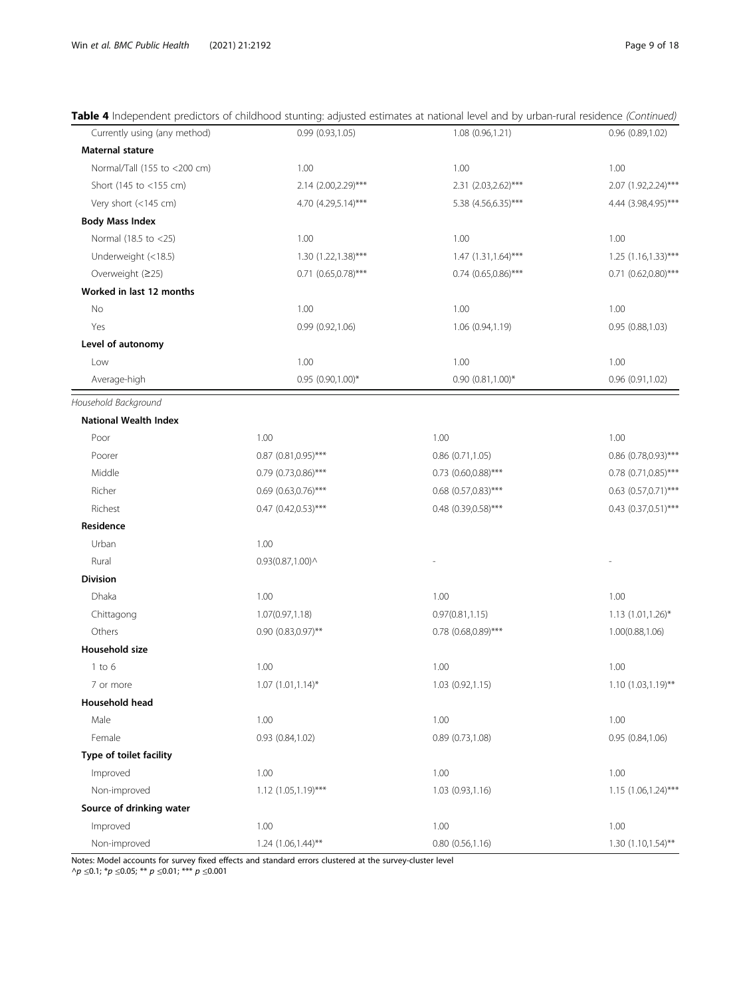# Table 4 Independent predictors of childhood stunting: adjusted estimates at national level and by urban-rural residence (Continued)

| Currently using (any method) | 0.99 (0.93,1.05)                                 | 1.08 (0.96,1.21)      | 0.96 (0.89,1.02)          |
|------------------------------|--------------------------------------------------|-----------------------|---------------------------|
| Maternal stature             |                                                  |                       |                           |
| Normal/Tall (155 to <200 cm) | 1.00                                             | 1.00                  | 1.00                      |
| Short (145 to <155 cm)       | 2.14 (2.00, 2.29)***                             | 2.31 (2.03, 2.62)***  | 2.07 (1.92,2.24)***       |
| Very short (<145 cm)         | 4.70 (4.29,5.14)***                              | 5.38 (4.56,6.35)***   | 4.44 (3.98,4.95)***       |
| <b>Body Mass Index</b>       |                                                  |                       |                           |
| Normal (18.5 to <25)         | 1.00                                             | 1.00                  | 1.00                      |
| Underweight (<18.5)          | 1.30 (1.22, 1.38)***                             | 1.47 (1.31, 1.64)***  | $1.25$ (1.16,1.33)***     |
| Overweight (≥25)             | $0.71$ $(0.65, 0.78)$ ***                        | $0.74$ (0.65,0.86)*** | $0.71$ $(0.62, 0.80)$ *** |
| Worked in last 12 months     |                                                  |                       |                           |
| No                           | 1.00                                             | 1.00                  | 1.00                      |
| Yes                          | 0.99(0.92, 1.06)                                 | 1.06 (0.94,1.19)      | 0.95(0.88, 1.03)          |
| Level of autonomy            |                                                  |                       |                           |
| Low                          | 1.00                                             | 1.00                  | 1.00                      |
| Average-high                 | 0.95 (0.90,1.00)*                                | $0.90(0.81,1.00)*$    | 0.96 (0.91,1.02)          |
| Household Background         |                                                  |                       |                           |
| <b>National Wealth Index</b> |                                                  |                       |                           |
| Poor                         | 1.00                                             | 1.00                  | 1.00                      |
| Poorer                       | 0.87 (0.81,0.95)***                              | $0.86$ $(0.71, 1.05)$ | 0.86 (0.78,0.93)***       |
| Middle                       | $0.79$ (0.73,0.86)***                            | $0.73$ (0.60,0.88)*** | 0.78 (0.71,0.85)***       |
| Richer                       | $0.69$ (0.63,0.76)***                            | $0.68$ (0.57,0.83)*** | $0.63$ $(0.57, 0.71)$ *** |
| Richest                      | $0.47$ (0.42,0.53)***                            | 0.48 (0.39,0.58)***   | $0.43$ $(0.37,0.51)$ ***  |
| Residence                    |                                                  |                       |                           |
| Urban                        | 1.00                                             |                       |                           |
| Rural                        | $0.93(0.87,1.00)$ <sup><math>\wedge</math></sup> |                       |                           |
| <b>Division</b>              |                                                  |                       |                           |
| Dhaka                        | 1.00                                             | 1.00                  | 1.00                      |
| Chittagong                   | 1.07(0.97,1.18)                                  | 0.97(0.81, 1.15)      | 1.13 (1.01,1.26)*         |
| Others                       | $0.90$ $(0.83, 0.97)$ **                         | 0.78 (0.68,0.89)***   | 1.00(0.88,1.06)           |
| Household size               |                                                  |                       |                           |
| $1$ to $6$                   | 1.00                                             | 1.00                  | 1.00                      |
| 7 or more                    | $1.07$ $(1.01, 1.14)^*$                          | 1.03 (0.92, 1.15)     | $1.10(1.03,1.19)$ **      |
| Household head               |                                                  |                       |                           |
| Male                         | 1.00                                             | 1.00                  | 1.00                      |
| Female                       | 0.93 (0.84,1.02)                                 | 0.89 (0.73,1.08)      | 0.95 (0.84,1.06)          |
| Type of toilet facility      |                                                  |                       |                           |
| Improved                     | 1.00                                             | 1.00                  | 1.00                      |
| Non-improved                 | $1.12$ $(1.05, 1.19)$ ***                        | 1.03 (0.93,1.16)      | 1.15 (1.06,1.24)***       |
| Source of drinking water     |                                                  |                       |                           |
| Improved                     | 1.00                                             | 1.00                  | 1.00                      |
| Non-improved                 | $1.24$ $(1.06, 1.44)$ **                         | 0.80(0.56, 1.16)      | $1.30(1.10, 1.54)$ **     |

Notes: Model accounts for survey fixed effects and standard errors clustered at the survey-cluster level

^ $p ≤0.1; *p ≤0.05; ** p ≤0.01; *** p ≤0.001$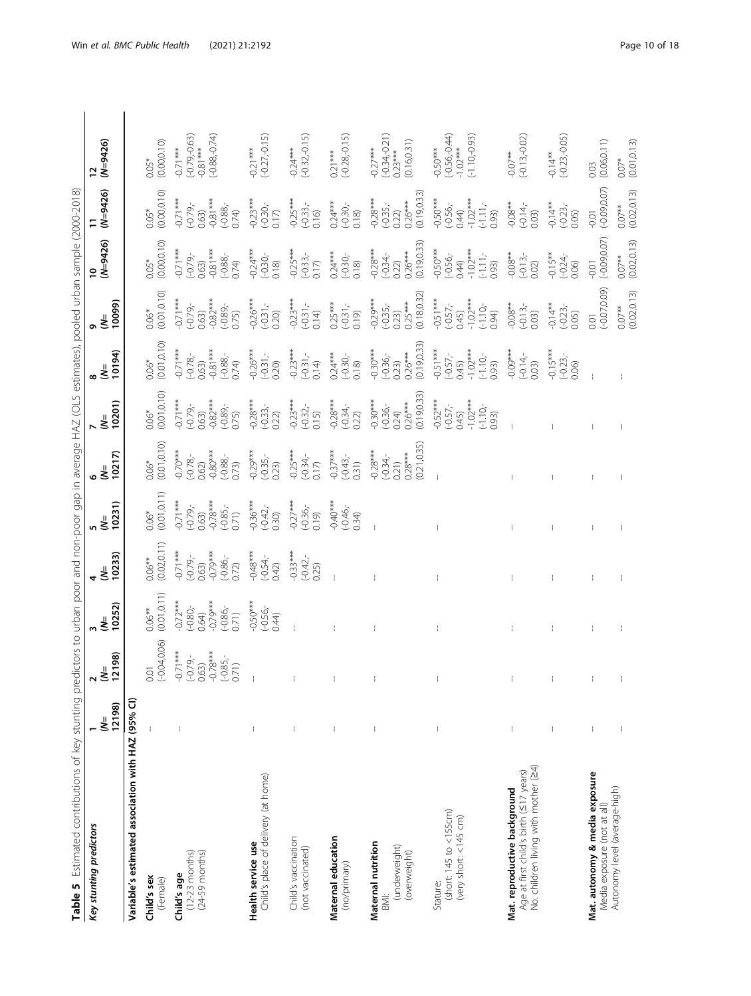<span id="page-9-0"></span>

| Table 5 Estimated contributions of key stunting predictors to urban poor and non-poor gap in average HAZ (OLS estimates), pooled urban sample (2000-2018) |             |                                                                                              |                                                                       |                                                                     |                                                                         |                                                                   |                                                                     |                                                                               |                                                                          |                                                                              |                                                                                                   |                                                                  |
|-----------------------------------------------------------------------------------------------------------------------------------------------------------|-------------|----------------------------------------------------------------------------------------------|-----------------------------------------------------------------------|---------------------------------------------------------------------|-------------------------------------------------------------------------|-------------------------------------------------------------------|---------------------------------------------------------------------|-------------------------------------------------------------------------------|--------------------------------------------------------------------------|------------------------------------------------------------------------------|---------------------------------------------------------------------------------------------------|------------------------------------------------------------------|
| Key stunting predictors                                                                                                                                   | 12198)<br>₹ | $\frac{(N=198)}{2198}$<br>$\mathbf{\hat{z}}$                                                 | 10252)<br>₹                                                           | 10233)<br>$\frac{1}{2}$                                             | 10231)<br>ξ                                                             | 10217)<br>₹                                                       | 10201)<br>₹                                                         | 10194)<br>៵៓                                                                  | 10099)<br>₹                                                              | $(N=9426)$<br>$\overline{a}$                                                 | $(N=9426)$                                                                                        | $(N=9426)$<br>$\overline{12}$                                    |
| Variable's estimated association with HAZ (95% CI)                                                                                                        |             |                                                                                              |                                                                       |                                                                     |                                                                         |                                                                   |                                                                     |                                                                               |                                                                          |                                                                              |                                                                                                   |                                                                  |
| Child's sex<br>(Female)                                                                                                                                   | t           |                                                                                              | $0.06**$<br>(0.01,0.11)                                               | (0.02, 0.11)<br>$0.06***$                                           | $0.06*$<br>(0.01,0.11)                                                  | (0.01, 0.10)<br>$0.06*$                                           | (0.01, 0.10)<br>$0.06*$                                             | $0.06*$<br>$(0.01, 0.10)$                                                     | $0.06*$<br>(0.01,0.10)                                                   | $0.05*$<br>(0.00,0.10)                                                       | (0.00, 0.10)<br>$0.05*$                                                                           | (0.000, 10)<br>$0.05*$                                           |
| $(24-59$ months)<br><b>Child's age</b><br>$(12-23 \text{ months})$                                                                                        |             | 0.01<br>$(-0.04,0.06)$<br>$(-0.71***$<br>$(-0.79,-$<br>$(-0.79, -$<br>$0.635,-$<br>$0.76***$ | $0.64$ )<br>$-0.79***$<br>$-0.72***$<br>$(-0.80 -$<br>$(-0.86,-0.71)$ | $0.63)$<br>$-0.79***$<br>$0.71***$<br>$(-0.86,-0.72)$<br>$(-0.79 -$ | $0.71***$<br>$0.63$<br>$-0.78***$<br>$(-0.85,-$<br>$0.71)$<br>$(-0.79)$ | $-0.70***$<br>$0.62$ )<br>-0.80 ***<br>(-0.88,-<br>0.73)          | $0.71***$<br>$0.63$ )<br>$-0.82***$<br>$(-0.79)$<br>$(-0.89,-0.89)$ | $0.71***$<br>$-0.81***$<br>$(-0.78 -$<br>$(-0.88,-0.74)$<br>0.63)             | $-0.71***$<br>$-0.82***$<br>$(-0.89,-$<br>0.75)<br>$-0.79 -$<br>0.63)    | $0.71***$<br>$0.81***$<br>$(-0.88,-0.74)$<br>$(-0.79 -$<br>0.63)             | $-0.81***$<br>$0.71***$<br>$-0.88 -$<br>$(-0.79 -$<br>0.74)<br>0.63)                              | $(-0.79, -0.63)$<br>$(-0.88, -0.74)$<br>$-0.81***$<br>$-0.71***$ |
| Child's place of delivery (at home)<br>Health service use                                                                                                 |             |                                                                                              | $-0.50***$<br>$(-0.56,-0.56)$                                         | $-0.48$ ***<br>$(-0.54, -0.54)$                                     | $-0.36***$<br>$(-0.42, -0.30)$                                          | $-0.29***$<br>$(-0.35,-$<br>0.23)                                 | $-0.28***$<br>$(-0.33,-0.22)$                                       | $-0.26***$<br>$(-0.31,-0.20)$                                                 | $-0.26***$<br>$(-0.31,-0.20)$                                            | $-0.24***$<br>$(-0.30,-$                                                     | $-0.23***$<br>$(-0.30,-0.17)$                                                                     | $(-0.27,-0.15)$<br>$-0.21***$                                    |
| Child's vaccination<br>(not vaccinated)                                                                                                                   |             | t                                                                                            |                                                                       | $-0.33***$<br>$(-0.42,-0.25)$                                       | $-0.27***$<br>$(-0.36,-0.19)$                                           | $-0.25***$<br>$(-0.34,-$<br>0.17)                                 | $-0.23***$<br>$(-0.32,-$<br>0.15)                                   | $-0.23***$<br>$(-0.31,-$<br>0.14)                                             | $-0.23***$<br>$(-0.31,-$<br>0.14)                                        | $-0.25***$<br>$(-0.33,-$<br>0.17)                                            | $-0.25***$<br>$(-0.33,-0.16)$                                                                     | $-0.24***$<br>$(-0.32,-0.15)$                                    |
| Maternal education<br>(no/primary)                                                                                                                        |             |                                                                                              |                                                                       |                                                                     | $-0.40***$<br>$(-0.46,-0.34)$                                           | $-0.37***$<br>$(-0.43,-$<br>0.31)                                 | $-0.28***$<br>$(-0.34,-$<br>0.22)                                   | $0.24***$<br>$(-0.30,-$<br>0.18)                                              | $0.25***$<br>$(-0.31,-$<br>0.19)                                         | $0.24***$<br>(-0.30,-<br>0.18)                                               | $0.24***$<br>(-0.30,-<br>0.18)                                                                    | $0.21***$<br>(-0.28,-0.15)                                       |
| Maternal nutrition<br>(underweight)<br>(overweight)<br>BMI:                                                                                               | Í           | $\overline{\phantom{a}}$                                                                     |                                                                       |                                                                     |                                                                         | (0.21, 0.35)<br>$-0.28***$<br>$(-0.34,-0.21)$<br>0.21)<br>0.28*** | (0.19, 0.33)<br>$-0.30***$<br>$(-0.36,-0.24)$<br>0.24)              | $(-0.36,-$<br>0.23)<br>0.26***<br>0.19,0.33)<br>$-0.30***$                    | $-0.29***$<br>$(-0.35,-$<br>$0.23)$<br>$0.25***$<br>$0.18,0.32)$         | (0.19, 0.33)<br>$-0.28***$<br>$(-0.34,-0.22)$<br>0.22)                       | (0.19, 0.33)<br>$-0.28***$<br>$(-0.35,-0.22)$<br>0.22)                                            | $(-0.34, 0.21)$<br>(0.16, 0.31)<br>$-0.27***$<br>$0.23***$       |
| (short: 145 to < 155cm)<br>(very short: <145 cm)<br>Stature:                                                                                              |             |                                                                                              |                                                                       |                                                                     |                                                                         |                                                                   | $-0.52***$<br>$-1.02***$<br>$(-0.57,-0.45)$<br>$(-1.10,-0.05)$      | $70.51***$<br>$(-0.57,-$<br>$0.45)$<br>$(-1.00***$<br>$(-1.10,-$<br>$(-1.00-$ | $70.57$<br>$(-0.57)$<br>$(-0.45)$<br>$(-1.10)$<br>$(-1.10)$<br>$(-1.00)$ | $70.50***$<br>$(-0.56,-$<br>$0.44)$<br>$(-1.11,-$<br>$(-1.11,-$<br>$(-1.33)$ | $\begin{array}{l} -0.50^{***} \\ -0.56, \\ -0.44) \\ -1.02^{***} \\ -1.11, \\ -0.93) \end{array}$ | $(-0.56, -0.44)$<br>-1.02***<br>$(-1.10,-0.93)$<br>$-0.50***$    |
| No. children living with mother (24)<br>Age at first child's birth (<17 years)<br>Mat. reproductive background                                            | t           | $\overline{\phantom{a}}$                                                                     |                                                                       | ÷                                                                   |                                                                         |                                                                   |                                                                     | $-0.09***$<br>$(-0.14, -0.3)$                                                 | $-0.08**$<br>$(-0.13,-$<br>0.03)                                         | $-0.08**$<br>$(-0.13,-$<br>$0.02)$                                           | $-0.08**$<br>$(-0.14,-$<br>0.03)                                                                  | $-0.07**$<br>$(-0.13,-0.02)$                                     |
|                                                                                                                                                           |             | I                                                                                            |                                                                       | ÷                                                                   |                                                                         |                                                                   |                                                                     | $-0.15***$<br>$(-0.23,-0.06)$                                                 | $-0.14**$<br>$(-0.23,-$<br>0.05)                                         | $-0.15***$<br>$(-0.24,-$<br>0.06)                                            | $-0.14**$<br>$(-0.23,-)$<br>0.05)                                                                 | $-0.14**$<br>$(-0.23,-0.05)$                                     |
| Mat. autonomy & media exposure<br>Media exposure (not at all)                                                                                             |             | $\mathord{\uparrow}$                                                                         |                                                                       |                                                                     |                                                                         |                                                                   |                                                                     |                                                                               | $(-0.07, 0.09)$<br>0.01                                                  | (50.09, 0.07)<br>0.01                                                        | $(-0.09, 0.07)$<br>$-0.01$                                                                        | (0.06, 0.11)<br>0.03                                             |
| Autonomy level (average-high)                                                                                                                             |             |                                                                                              |                                                                       |                                                                     |                                                                         |                                                                   |                                                                     |                                                                               | (0.02.0.13)<br>$0.07**$                                                  | (0.02.0.13)<br>$0.07***$                                                     | (0.02.0.13)<br>$0.07**$                                                                           | (0.0110.13)<br>$0.07*$                                           |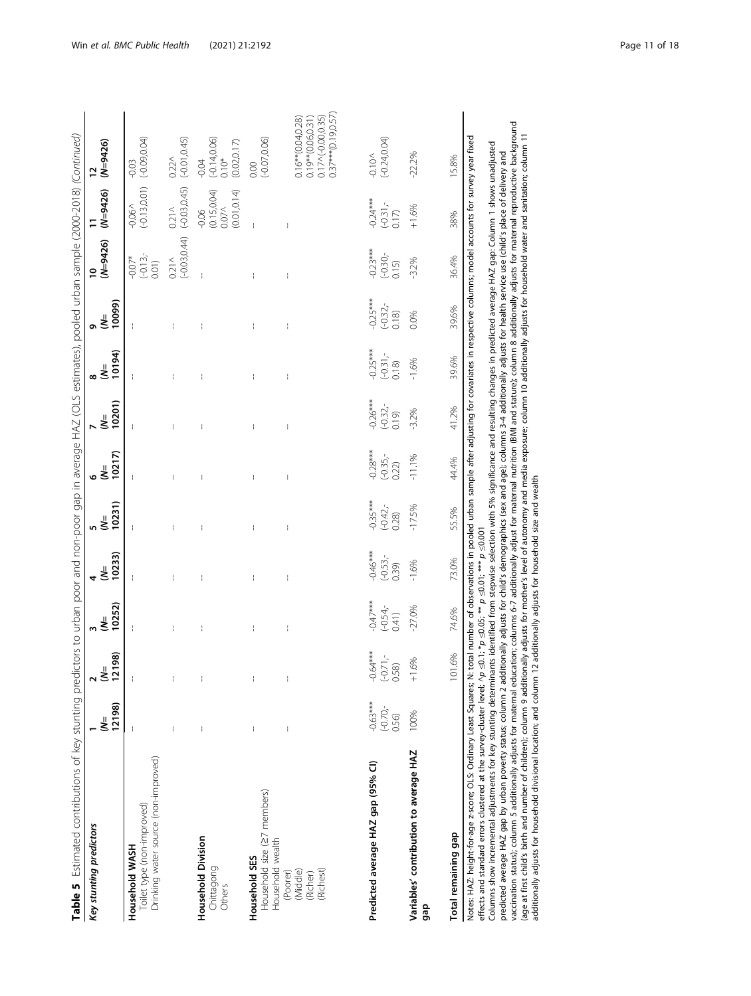| Key stunting predictors                                                                                                                                                                                                                                                                                                                                                                                                                                                                                                                                                                                                                                                                                                                                                                                                                                                                                               | 12198)<br>₹                       | $\frac{2}{(N=8)}$                                      | 10252)<br>$\bar{\bar{\mathbf{x}}}$<br>ω               | 10233)<br>₹<br>4                                                  | 10231)<br>n ≝                     | 10217)<br>$\bar{\bar{\mathbf{x}}}$<br>۰ | 10201)<br>₹<br>N                  | 10194)<br>$\stackrel{=}{}{\infty}$ | 10099)<br>๑៩                    | $(N=9426)$<br>$\overline{a}$                                                                                                                                                                                                                                                                       | $(N=9426)$                                                     | $(N=9426)$                                                                                             |
|-----------------------------------------------------------------------------------------------------------------------------------------------------------------------------------------------------------------------------------------------------------------------------------------------------------------------------------------------------------------------------------------------------------------------------------------------------------------------------------------------------------------------------------------------------------------------------------------------------------------------------------------------------------------------------------------------------------------------------------------------------------------------------------------------------------------------------------------------------------------------------------------------------------------------|-----------------------------------|--------------------------------------------------------|-------------------------------------------------------|-------------------------------------------------------------------|-----------------------------------|-----------------------------------------|-----------------------------------|------------------------------------|---------------------------------|----------------------------------------------------------------------------------------------------------------------------------------------------------------------------------------------------------------------------------------------------------------------------------------------------|----------------------------------------------------------------|--------------------------------------------------------------------------------------------------------|
| Drinking water source (non-improved)<br>Toilet type (non-improved)<br>Household WASH                                                                                                                                                                                                                                                                                                                                                                                                                                                                                                                                                                                                                                                                                                                                                                                                                                  |                                   |                                                        |                                                       |                                                                   |                                   |                                         |                                   |                                    |                                 | $(-0.13,-$<br>$-0.07*$<br>0.01)                                                                                                                                                                                                                                                                    | $(-0.13, 0.01)$<br>$-0.060$                                    | $(-0.09, 0.04)$<br>$-0.03$                                                                             |
|                                                                                                                                                                                                                                                                                                                                                                                                                                                                                                                                                                                                                                                                                                                                                                                                                                                                                                                       |                                   |                                                        |                                                       |                                                                   |                                   |                                         |                                   |                                    |                                 | $(-0.03, 0.44)$<br>$0.21\wedge$                                                                                                                                                                                                                                                                    | $(-0.03, 0.45)$<br>0.21 <sub>0</sub>                           | $(-0.01, 0.45)$<br>$0.22\wedge$                                                                        |
| Household Division<br>Chittagong<br>Others                                                                                                                                                                                                                                                                                                                                                                                                                                                                                                                                                                                                                                                                                                                                                                                                                                                                            |                                   |                                                        |                                                       |                                                                   |                                   |                                         |                                   |                                    |                                 |                                                                                                                                                                                                                                                                                                    | $-0.06$<br>$(0.15, 0.04)$<br>(0.01, 0.14)<br>0.07 <sub>N</sub> | $(-0.14, 0.06)$<br>(0.02, 0.17)<br>$0.10*$<br>$-0.04$                                                  |
| Household size (27 members)<br>Household wealth<br>Household SES                                                                                                                                                                                                                                                                                                                                                                                                                                                                                                                                                                                                                                                                                                                                                                                                                                                      |                                   | $\bar{1}$                                              | ÷                                                     | ł                                                                 | ł                                 |                                         | ł                                 | t                                  | t                               |                                                                                                                                                                                                                                                                                                    |                                                                | $(-0.07, 0.06)$<br>0.00                                                                                |
| (Richest)<br>(Poorer)<br>(Middle)<br>(Richer)                                                                                                                                                                                                                                                                                                                                                                                                                                                                                                                                                                                                                                                                                                                                                                                                                                                                         |                                   | ł                                                      |                                                       | ł                                                                 |                                   |                                         | ł                                 |                                    |                                 |                                                                                                                                                                                                                                                                                                    |                                                                | $0.37***$ $(0.19,0.57)$<br>$0.17 \wedge (-0.000.35)$<br>$0.16*(0.04, 0.28)$<br>$0.19**$ $(0.06, 0.31)$ |
| Predicted average HAZ gap (95% CI)                                                                                                                                                                                                                                                                                                                                                                                                                                                                                                                                                                                                                                                                                                                                                                                                                                                                                    | $-0.63***$<br>$(-0.70,-$<br>0.56) | $-0.64***$<br>$(-0.71,-$<br>$\widehat{\otimes}$<br>S.O | $-0.47***$<br>$(-0.54,$<br>(141)                      | $-0.46***$<br>$(-0.53,-$<br>0.39)                                 | $0.35***$<br>$(-0.42, -$<br>0.28) | $-0.28***$<br>$(-0.35,-$<br>0.22)       | $-0.26***$<br>$(-0.32,$<br>(61.0) | $0.25***$<br>$(-0.31, -$<br>0.18   | $-0.25***$<br>$(-0.32,$<br>0.18 | $-0.23***$<br>$(-0.30 -$<br>0.15                                                                                                                                                                                                                                                                   | $-0.24***$<br>$(-0.31,-$<br>0.17                               | $(-0.24, 0.04)$<br>$-0.100$                                                                            |
| Variables' contribution to average HAZ<br>gap                                                                                                                                                                                                                                                                                                                                                                                                                                                                                                                                                                                                                                                                                                                                                                                                                                                                         | 100%                              | .6%<br>$^{-}$                                          | $-27.0%$                                              | $-1.6%$                                                           | $-17.5%$                          | $-11.1%$                                | $-3.2%$                           | $-1.6%$                            | 0.0%                            | $-3.2%$                                                                                                                                                                                                                                                                                            | $+1.6%$                                                        | $-222%$                                                                                                |
| Total remaining gap                                                                                                                                                                                                                                                                                                                                                                                                                                                                                                                                                                                                                                                                                                                                                                                                                                                                                                   |                                   | 101.6%                                                 | 74.6%                                                 | 73.0%                                                             | 55.5%                             | 44.4%                                   | 41.2%                             | 39.6%                              | 39.6%                           | 36.4%                                                                                                                                                                                                                                                                                              | 38%                                                            | 15.8%                                                                                                  |
| vaccination status); column 5 additionally adjusts for maternal education; columns 6-7 additionally adjust hormationally adjusts additionally adjusts for maternal reproductive background<br>(age at first child's birth and number of children); column 9 additionally adjusts for mother's level of autonomy and media exposure; column 10 additionally adjusts for household water and sanitation; column 11<br>Columns show incremental adjustments for key stunting determinants identified from stepwise selection with 5% significance and resulting changes in predicted average HAZ gap: Column 1 shows unadjusted<br>Notes: HAZ: height-for-age z-score; OLS: Ordinary Least Squares; N:<br>effects and standard errors clustered at the survey-cluster level; ^p<br>predicted average HAZ gap by urban poverty status; column 2 add<br>additionally adjusts for household divisional location; and column |                                   |                                                        | 12 additionally adjusts for household size and wealth | $\leq$ 0.1; * $p \leq$ 0.05; ** $p \leq$ 0.01; *** $p \leq$ 0.001 |                                   |                                         |                                   |                                    |                                 | total number of observations in pooled urban sample after adjusting for covariates in respective columns; model accounts for survey year fixed<br>itionally adjusts for child's demographics (sex and age); columns 3-4 additionally adjusts for health service use (child's place of delivery and |                                                                |                                                                                                        |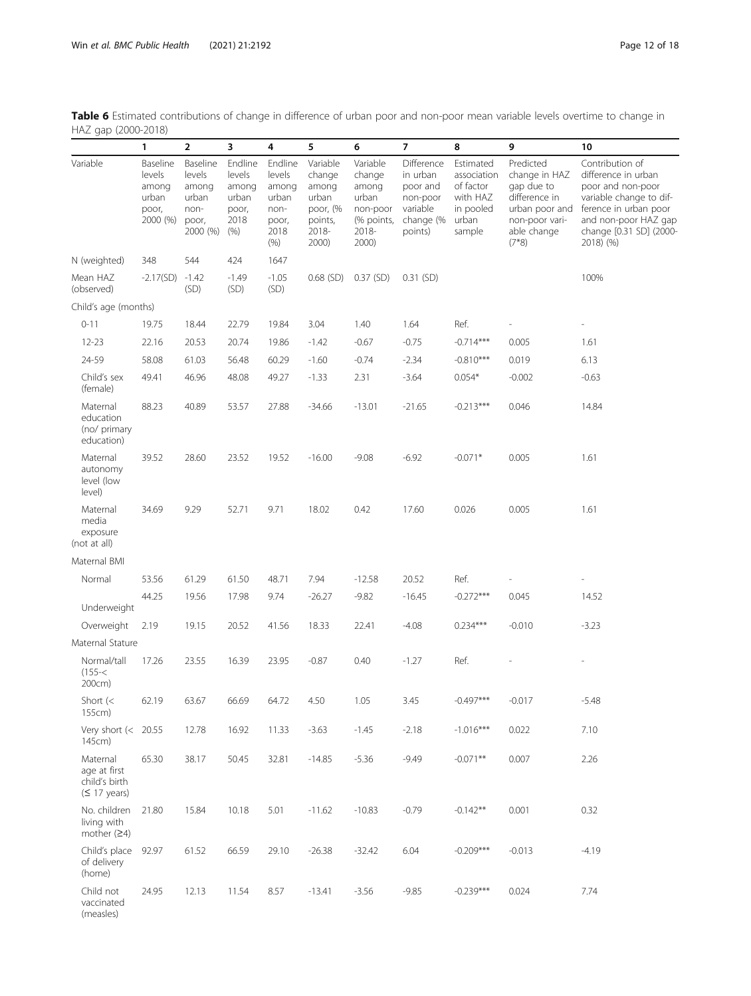<span id="page-11-0"></span>Table 6 Estimated contributions of change in difference of urban poor and non-poor mean variable levels overtime to change in HAZ gap (2000-2018)

| $m = 90p$ $(2000$                                                  | $\sim$ $\sim$ $\sim$ $\sim$                               |                                                                   |                                                              |                                                                      |                                                                               |                                                                                  |                                                                                    |                                                                                   |                                                                                                                         |                                                                                                                                                                                 |
|--------------------------------------------------------------------|-----------------------------------------------------------|-------------------------------------------------------------------|--------------------------------------------------------------|----------------------------------------------------------------------|-------------------------------------------------------------------------------|----------------------------------------------------------------------------------|------------------------------------------------------------------------------------|-----------------------------------------------------------------------------------|-------------------------------------------------------------------------------------------------------------------------|---------------------------------------------------------------------------------------------------------------------------------------------------------------------------------|
|                                                                    | 1                                                         | $\overline{2}$                                                    | 3                                                            | 4                                                                    | 5                                                                             | 6                                                                                | $\overline{7}$                                                                     | 8                                                                                 | 9                                                                                                                       | 10                                                                                                                                                                              |
| Variable                                                           | Baseline<br>levels<br>among<br>urban<br>poor,<br>2000 (%) | Baseline<br>levels<br>among<br>urban<br>non-<br>poor,<br>2000 (%) | Endline<br>levels<br>among<br>urban<br>poor,<br>2018<br>(% ) | Endline<br>levels<br>among<br>urban<br>non-<br>poor,<br>2018<br>(% ) | Variable<br>change<br>among<br>urban<br>poor, (%<br>points,<br>2018-<br>2000) | Variable<br>change<br>among<br>urban<br>non-poor<br>(% points,<br>2018-<br>2000) | Difference<br>in urban<br>poor and<br>non-poor<br>variable<br>change (%<br>points) | Estimated<br>association<br>of factor<br>with HAZ<br>in pooled<br>urban<br>sample | Predicted<br>change in HAZ<br>gap due to<br>difference in<br>urban poor and<br>non-poor vari-<br>able change<br>$(7*8)$ | Contribution of<br>difference in urban<br>poor and non-poor<br>variable change to dif-<br>ference in urban poor<br>and non-poor HAZ gap<br>change [0.31 SD] (2000-<br>2018) (%) |
| N (weighted)                                                       | 348                                                       | 544                                                               | 424                                                          | 1647                                                                 |                                                                               |                                                                                  |                                                                                    |                                                                                   |                                                                                                                         |                                                                                                                                                                                 |
| Mean HAZ<br>(observed)                                             | $-2.17(SD)$                                               | $-1.42$<br>(SD)                                                   | $-1.49$<br>(SD)                                              | $-1.05$<br>(SD)                                                      | $0.68$ (SD)                                                                   | $0.37$ (SD)                                                                      | $0.31$ (SD)                                                                        |                                                                                   |                                                                                                                         | 100%                                                                                                                                                                            |
| Child's age (months)                                               |                                                           |                                                                   |                                                              |                                                                      |                                                                               |                                                                                  |                                                                                    |                                                                                   |                                                                                                                         |                                                                                                                                                                                 |
| $0 - 11$                                                           | 19.75                                                     | 18.44                                                             | 22.79                                                        | 19.84                                                                | 3.04                                                                          | 1.40                                                                             | 1.64                                                                               | Ref.                                                                              |                                                                                                                         |                                                                                                                                                                                 |
| $12 - 23$                                                          | 22.16                                                     | 20.53                                                             | 20.74                                                        | 19.86                                                                | $-1.42$                                                                       | $-0.67$                                                                          | $-0.75$                                                                            | $-0.714***$                                                                       | 0.005                                                                                                                   | 1.61                                                                                                                                                                            |
| 24-59                                                              | 58.08                                                     | 61.03                                                             | 56.48                                                        | 60.29                                                                | $-1.60$                                                                       | $-0.74$                                                                          | $-2.34$                                                                            | $-0.810***$                                                                       | 0.019                                                                                                                   | 6.13                                                                                                                                                                            |
| Child's sex<br>(female)                                            | 49.41                                                     | 46.96                                                             | 48.08                                                        | 49.27                                                                | $-1.33$                                                                       | 2.31                                                                             | $-3.64$                                                                            | $0.054*$                                                                          | $-0.002$                                                                                                                | $-0.63$                                                                                                                                                                         |
| Maternal<br>education<br>(no/ primary<br>education)                | 88.23                                                     | 40.89                                                             | 53.57                                                        | 27.88                                                                | $-34.66$                                                                      | $-13.01$                                                                         | $-21.65$                                                                           | $-0.213***$                                                                       | 0.046                                                                                                                   | 14.84                                                                                                                                                                           |
| Maternal<br>autonomy<br>level (low<br>level)                       | 39.52                                                     | 28.60                                                             | 23.52                                                        | 19.52                                                                | $-16.00$                                                                      | $-9.08$                                                                          | $-6.92$                                                                            | $-0.071*$                                                                         | 0.005                                                                                                                   | 1.61                                                                                                                                                                            |
| Maternal<br>media<br>exposure<br>(not at all)                      | 34.69                                                     | 9.29                                                              | 52.71                                                        | 9.71                                                                 | 18.02                                                                         | 0.42                                                                             | 17.60                                                                              | 0.026                                                                             | 0.005                                                                                                                   | 1.61                                                                                                                                                                            |
| Maternal BMI                                                       |                                                           |                                                                   |                                                              |                                                                      |                                                                               |                                                                                  |                                                                                    |                                                                                   |                                                                                                                         |                                                                                                                                                                                 |
| Normal                                                             | 53.56                                                     | 61.29                                                             | 61.50                                                        | 48.71                                                                | 7.94                                                                          | $-12.58$                                                                         | 20.52                                                                              | Ref.                                                                              |                                                                                                                         |                                                                                                                                                                                 |
| Underweight                                                        | 44.25                                                     | 19.56                                                             | 17.98                                                        | 9.74                                                                 | $-26.27$                                                                      | $-9.82$                                                                          | $-16.45$                                                                           | $-0.272***$                                                                       | 0.045                                                                                                                   | 14.52                                                                                                                                                                           |
| Overweight                                                         | 2.19                                                      | 19.15                                                             | 20.52                                                        | 41.56                                                                | 18.33                                                                         | 22.41                                                                            | $-4.08$                                                                            | $0.234***$                                                                        | $-0.010$                                                                                                                | $-3.23$                                                                                                                                                                         |
| Maternal Stature                                                   |                                                           |                                                                   |                                                              |                                                                      |                                                                               |                                                                                  |                                                                                    |                                                                                   |                                                                                                                         |                                                                                                                                                                                 |
| Normal/tall<br>$(155 - <$<br>200cm)                                | 17.26                                                     | 23.55                                                             | 16.39                                                        | 23.95                                                                | $-0.87$                                                                       | 0.40                                                                             | $-1.27$                                                                            | Ref.                                                                              |                                                                                                                         |                                                                                                                                                                                 |
| Short $(<$<br>155cm)                                               | 62.19                                                     | 63.67                                                             | 66.69                                                        | 64.72                                                                | 4.50                                                                          | 1.05                                                                             | 3.45                                                                               | -0.497***                                                                         | $-0.017$                                                                                                                | -5.48                                                                                                                                                                           |
| Very short $\left( < 20.55 \right)$<br>145cm)                      |                                                           | 12.78                                                             | 16.92                                                        | 11.33                                                                | $-3.63$                                                                       | $-1.45$                                                                          | $-2.18$                                                                            | $-1.016***$                                                                       | 0.022                                                                                                                   | 7.10                                                                                                                                                                            |
| Maternal<br>age at first<br>child's birth<br>$(517 \text{ years})$ | 65.30                                                     | 38.17                                                             | 50.45                                                        | 32.81                                                                | $-14.85$                                                                      | $-5.36$                                                                          | $-9.49$                                                                            | $-0.071**$                                                                        | 0.007                                                                                                                   | 2.26                                                                                                                                                                            |
| No. children<br>living with<br>mother $(24)$                       | 21.80                                                     | 15.84                                                             | 10.18                                                        | 5.01                                                                 | $-11.62$                                                                      | $-10.83$                                                                         | $-0.79$                                                                            | $-0.142**$                                                                        | 0.001                                                                                                                   | 0.32                                                                                                                                                                            |
| Child's place<br>of delivery<br>(home)                             | 92.97                                                     | 61.52                                                             | 66.59                                                        | 29.10                                                                | $-26.38$                                                                      | $-32.42$                                                                         | 6.04                                                                               | $-0.209***$                                                                       | $-0.013$                                                                                                                | $-4.19$                                                                                                                                                                         |
| Child not<br>vaccinated<br>(measles)                               | 24.95                                                     | 12.13                                                             | 11.54                                                        | 8.57                                                                 | $-13.41$                                                                      | $-3.56$                                                                          | $-9.85$                                                                            | $-0.239***$                                                                       | 0.024                                                                                                                   | 7.74                                                                                                                                                                            |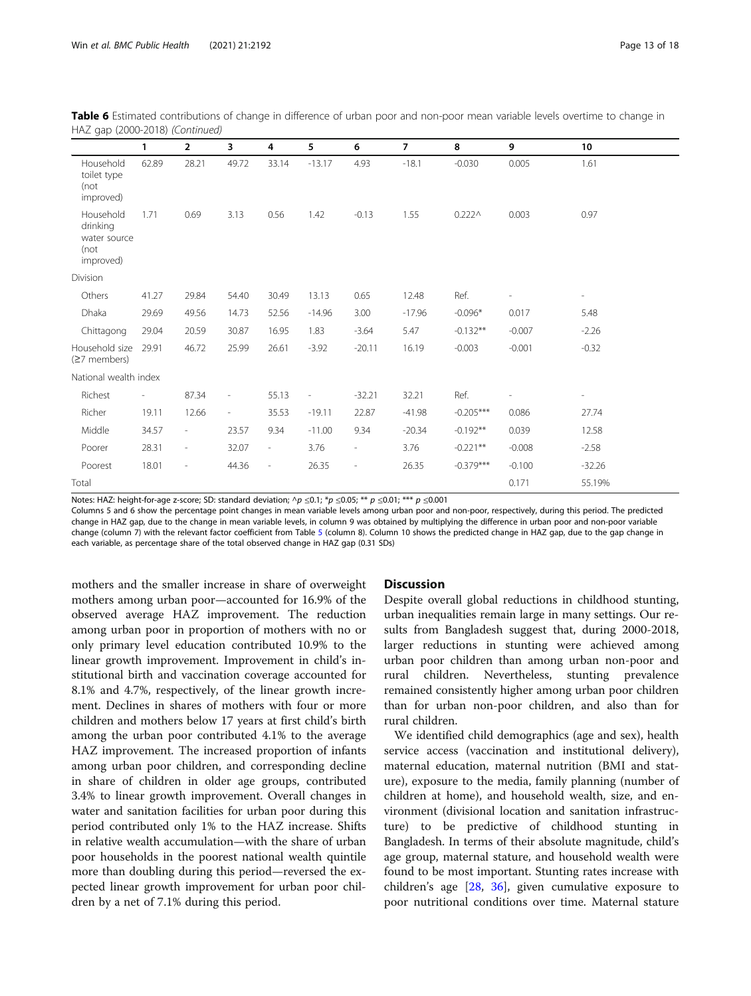|                                                            | $\mathbf{1}$ | $\overline{2}$           | 3                        | 4                        | 5                        | 6                        | $\overline{7}$ | 8              | 9              | 10                       |
|------------------------------------------------------------|--------------|--------------------------|--------------------------|--------------------------|--------------------------|--------------------------|----------------|----------------|----------------|--------------------------|
| Household<br>toilet type<br>(not<br>improved)              | 62.89        | 28.21                    | 49.72                    | 33.14                    | $-13.17$                 | 4.93                     | $-18.1$        | $-0.030$       | 0.005          | 1.61                     |
| Household<br>drinking<br>water source<br>(not<br>improved) | 1.71         | 0.69                     | 3.13                     | 0.56                     | 1.42                     | $-0.13$                  | 1.55           | $0.222 \wedge$ | 0.003          | 0.97                     |
| Division                                                   |              |                          |                          |                          |                          |                          |                |                |                |                          |
| Others                                                     | 41.27        | 29.84                    | 54.40                    | 30.49                    | 13.13                    | 0.65                     | 12.48          | Ref.           | $\overline{a}$ | $\overline{\phantom{0}}$ |
| Dhaka                                                      | 29.69        | 49.56                    | 14.73                    | 52.56                    | $-14.96$                 | 3.00                     | $-17.96$       | $-0.096*$      | 0.017          | 5.48                     |
| Chittagong                                                 | 29.04        | 20.59                    | 30.87                    | 16.95                    | 1.83                     | $-3.64$                  | 5.47           | $-0.132**$     | $-0.007$       | $-2.26$                  |
| Household size<br>$(27$ members)                           | 29.91        | 46.72                    | 25.99                    | 26.61                    | $-3.92$                  | $-20.11$                 | 16.19          | $-0.003$       | $-0.001$       | $-0.32$                  |
| National wealth index                                      |              |                          |                          |                          |                          |                          |                |                |                |                          |
| Richest                                                    | $\sim$       | 87.34                    | $\overline{\phantom{a}}$ | 55.13                    | $\overline{\phantom{a}}$ | $-32.21$                 | 32.21          | Ref.           |                | $\overline{\phantom{a}}$ |
| Richer                                                     | 19.11        | 12.66                    | $\overline{\phantom{a}}$ | 35.53                    | $-19.11$                 | 22.87                    | $-41.98$       | $-0.205***$    | 0.086          | 27.74                    |
| Middle                                                     | 34.57        | $\overline{\phantom{a}}$ | 23.57                    | 9.34                     | $-11.00$                 | 9.34                     | $-20.34$       | $-0.192**$     | 0.039          | 12.58                    |
| Poorer                                                     | 28.31        | $\overline{\phantom{a}}$ | 32.07                    | $\overline{\phantom{a}}$ | 3.76                     | $\overline{\phantom{0}}$ | 3.76           | $-0.221**$     | $-0.008$       | $-2.58$                  |
| Poorest                                                    | 18.01        | $\overline{\phantom{a}}$ | 44.36                    | $\overline{\phantom{a}}$ | 26.35                    | $\overline{a}$           | 26.35          | $-0.379***$    | $-0.100$       | $-32.26$                 |
| Total                                                      |              |                          |                          |                          |                          |                          |                |                | 0.171          | 55.19%                   |

Table 6 Estimated contributions of change in difference of urban poor and non-poor mean variable levels overtime to change in HAZ gap (2000-2018) (Continued)

Notes: HAZ: height-for-age z-score; SD: standard deviation;  $\wedge p \le 0.1$ ; \*p  $\le 0.05$ ; \*\* p  $\le 0.01$ ; \*\*\* p  $\le 0.001$ 

Columns 5 and 6 show the percentage point changes in mean variable levels among urban poor and non-poor, respectively, during this period. The predicted change in HAZ gap, due to the change in mean variable levels, in column 9 was obtained by multiplying the difference in urban poor and non-poor variable change (column 7) with the relevant factor coefficient from Table [5](#page-9-0) (column 8). Column 10 shows the predicted change in HAZ gap, due to the gap change in each variable, as percentage share of the total observed change in HAZ gap (0.31 SDs)

mothers and the smaller increase in share of overweight mothers among urban poor—accounted for 16.9% of the observed average HAZ improvement. The reduction among urban poor in proportion of mothers with no or only primary level education contributed 10.9% to the linear growth improvement. Improvement in child's institutional birth and vaccination coverage accounted for 8.1% and 4.7%, respectively, of the linear growth increment. Declines in shares of mothers with four or more children and mothers below 17 years at first child's birth among the urban poor contributed 4.1% to the average HAZ improvement. The increased proportion of infants among urban poor children, and corresponding decline in share of children in older age groups, contributed 3.4% to linear growth improvement. Overall changes in water and sanitation facilities for urban poor during this period contributed only 1% to the HAZ increase. Shifts in relative wealth accumulation—with the share of urban poor households in the poorest national wealth quintile more than doubling during this period—reversed the expected linear growth improvement for urban poor children by a net of 7.1% during this period.

# **Discussion**

Despite overall global reductions in childhood stunting, urban inequalities remain large in many settings. Our results from Bangladesh suggest that, during 2000-2018, larger reductions in stunting were achieved among urban poor children than among urban non-poor and rural children. Nevertheless, stunting prevalence remained consistently higher among urban poor children than for urban non-poor children, and also than for rural children.

We identified child demographics (age and sex), health service access (vaccination and institutional delivery), maternal education, maternal nutrition (BMI and stature), exposure to the media, family planning (number of children at home), and household wealth, size, and environment (divisional location and sanitation infrastructure) to be predictive of childhood stunting in Bangladesh. In terms of their absolute magnitude, child's age group, maternal stature, and household wealth were found to be most important. Stunting rates increase with children's age [[28,](#page-17-0) [36](#page-17-0)], given cumulative exposure to poor nutritional conditions over time. Maternal stature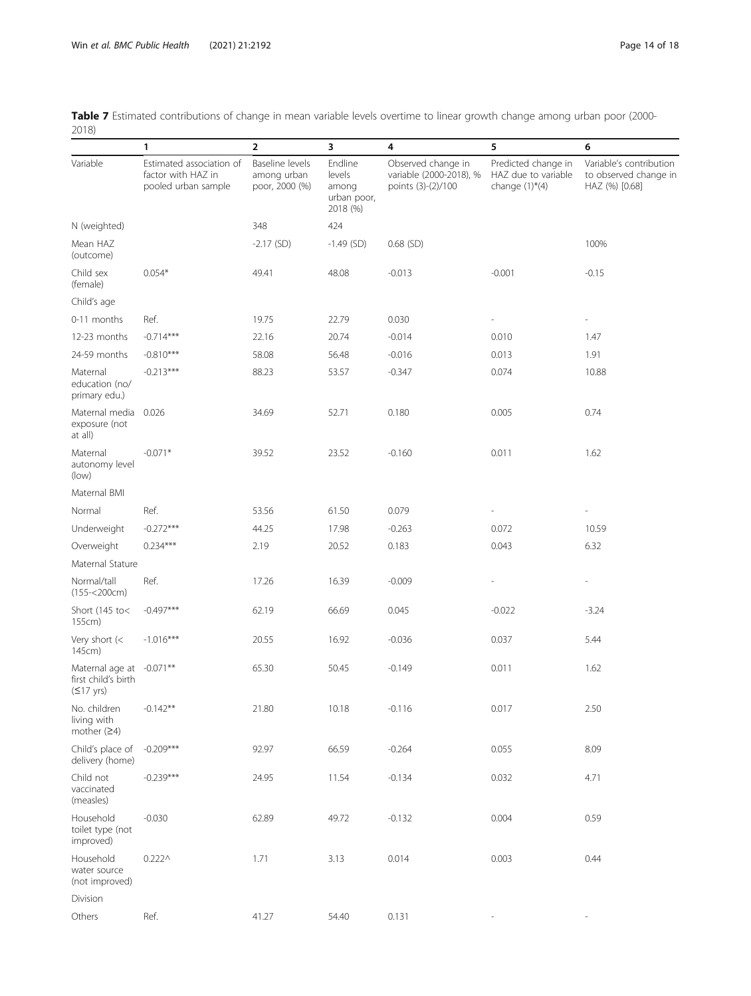<span id="page-13-0"></span>

| Table 7 Estimated contributions of change in mean variable levels overtime to linear growth change among urban poor (2000- |  |
|----------------------------------------------------------------------------------------------------------------------------|--|
| 2018)                                                                                                                      |  |

| -- - - -                                                               |                                                                       |                                                  |                                                       |                                                                     |                                                                               |                                                                    |
|------------------------------------------------------------------------|-----------------------------------------------------------------------|--------------------------------------------------|-------------------------------------------------------|---------------------------------------------------------------------|-------------------------------------------------------------------------------|--------------------------------------------------------------------|
|                                                                        | 1                                                                     | $\overline{2}$                                   | 3                                                     | 4                                                                   | 5                                                                             | 6                                                                  |
| Variable                                                               | Estimated association of<br>factor with HAZ in<br>pooled urban sample | Baseline levels<br>among urban<br>poor, 2000 (%) | Endline<br>levels<br>among<br>urban poor,<br>2018 (%) | Observed change in<br>variable (2000-2018), %<br>points (3)-(2)/100 | Predicted change in<br>HAZ due to variable<br>change $(1)$ <sup>*</sup> $(4)$ | Variable's contribution<br>to observed change in<br>HAZ (%) [0.68] |
| N (weighted)                                                           |                                                                       | 348                                              | 424                                                   |                                                                     |                                                                               |                                                                    |
| Mean HAZ<br>(outcome)                                                  |                                                                       | $-2.17$ (SD)                                     | $-1.49$ (SD)                                          | $0.68$ (SD)                                                         |                                                                               | 100%                                                               |
| Child sex<br>(female)                                                  | $0.054*$                                                              | 49.41                                            | 48.08                                                 | $-0.013$                                                            | $-0.001$                                                                      | $-0.15$                                                            |
| Child's age                                                            |                                                                       |                                                  |                                                       |                                                                     |                                                                               |                                                                    |
| 0-11 months                                                            | Ref.                                                                  | 19.75                                            | 22.79                                                 | 0.030                                                               |                                                                               |                                                                    |
| 12-23 months                                                           | $-0.714***$                                                           | 22.16                                            | 20.74                                                 | $-0.014$                                                            | 0.010                                                                         | 1.47                                                               |
| 24-59 months                                                           | $-0.810***$                                                           | 58.08                                            | 56.48                                                 | $-0.016$                                                            | 0.013                                                                         | 1.91                                                               |
| Maternal<br>education (no/<br>primary edu.)                            | $-0.213***$                                                           | 88.23                                            | 53.57                                                 | $-0.347$                                                            | 0.074                                                                         | 10.88                                                              |
| Maternal media<br>exposure (not<br>at all)                             | 0.026                                                                 | 34.69                                            | 52.71                                                 | 0.180                                                               | 0.005                                                                         | 0.74                                                               |
| Maternal<br>autonomy level<br>(low)                                    | $-0.071*$                                                             | 39.52                                            | 23.52                                                 | $-0.160$                                                            | 0.011                                                                         | 1.62                                                               |
| Maternal BMI                                                           |                                                                       |                                                  |                                                       |                                                                     |                                                                               |                                                                    |
| Normal                                                                 | Ref.                                                                  | 53.56                                            | 61.50                                                 | 0.079                                                               |                                                                               |                                                                    |
| Underweight                                                            | $-0.272***$                                                           | 44.25                                            | 17.98                                                 | $-0.263$                                                            | 0.072                                                                         | 10.59                                                              |
| Overweight                                                             | $0.234***$                                                            | 2.19                                             | 20.52                                                 | 0.183                                                               | 0.043                                                                         | 6.32                                                               |
| Maternal Stature                                                       |                                                                       |                                                  |                                                       |                                                                     |                                                                               |                                                                    |
| Normal/tall<br>$(155 - 200cm)$                                         | Ref.                                                                  | 17.26                                            | 16.39                                                 | $-0.009$                                                            |                                                                               |                                                                    |
| Short (145 to<<br>155cm)                                               | $-0.497***$                                                           | 62.19                                            | 66.69                                                 | 0.045                                                               | $-0.022$                                                                      | $-3.24$                                                            |
| Very short $(<$<br>145cm)                                              | $-1.016***$                                                           | 20.55                                            | 16.92                                                 | $-0.036$                                                            | 0.037                                                                         | 5.44                                                               |
| Maternal age at -0.071**<br>first child's birth<br>$(517 \text{ yrs})$ |                                                                       | 65.30                                            | 50.45                                                 | $-0.149$                                                            | 0.011                                                                         | 1.62                                                               |
| No. children<br>living with<br>mother $(24)$                           | $-0.142**$                                                            | 21.80                                            | 10.18                                                 | $-0.116$                                                            | 0.017                                                                         | 2.50                                                               |
| Child's place of<br>delivery (home)                                    | $-0.209***$                                                           | 92.97                                            | 66.59                                                 | $-0.264$                                                            | 0.055                                                                         | 8.09                                                               |
| Child not<br>vaccinated<br>(measles)                                   | $-0.239***$                                                           | 24.95                                            | 11.54                                                 | $-0.134$                                                            | 0.032                                                                         | 4.71                                                               |
| Household<br>toilet type (not<br>improved)                             | $-0.030$                                                              | 62.89                                            | 49.72                                                 | $-0.132$                                                            | 0.004                                                                         | 0.59                                                               |
| Household<br>water source<br>(not improved)                            | $0.222 \wedge$                                                        | 1.71                                             | 3.13                                                  | 0.014                                                               | 0.003                                                                         | 0.44                                                               |
| Division                                                               |                                                                       |                                                  |                                                       |                                                                     |                                                                               |                                                                    |
| Others                                                                 | Ref.                                                                  | 41.27                                            | 54.40                                                 | 0.131                                                               |                                                                               |                                                                    |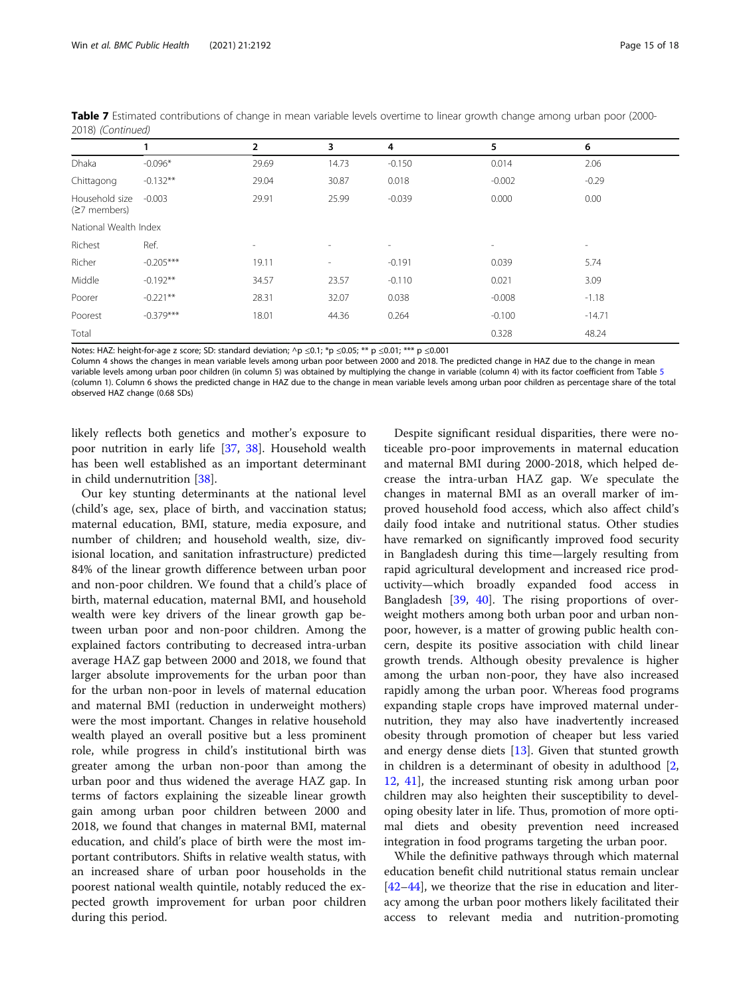|                                  | 1           | 2                        | 3                        | 4                        | 5                        | 6        |  |  |
|----------------------------------|-------------|--------------------------|--------------------------|--------------------------|--------------------------|----------|--|--|
| Dhaka                            | $-0.096*$   | 29.69                    | 14.73                    | $-0.150$                 | 0.014                    | 2.06     |  |  |
| Chittagong                       | $-0.132**$  | 29.04                    | 30.87                    | 0.018                    | $-0.002$                 | $-0.29$  |  |  |
| Household size<br>$(27$ members) | $-0.003$    | 29.91                    | 25.99                    | $-0.039$                 | 0.000                    | 0.00     |  |  |
| National Wealth Index            |             |                          |                          |                          |                          |          |  |  |
| Richest                          | Ref.        | $\overline{\phantom{a}}$ | $\overline{\phantom{a}}$ | $\overline{\phantom{a}}$ | $\overline{\phantom{a}}$ | $\sim$   |  |  |
| Richer                           | $-0.205***$ | 19.11                    | $\sim$                   | $-0.191$                 | 0.039                    | 5.74     |  |  |
| Middle                           | $-0.192**$  | 34.57                    | 23.57                    | $-0.110$                 | 0.021                    | 3.09     |  |  |
| Poorer                           | $-0.221**$  | 28.31                    | 32.07                    | 0.038                    | $-0.008$                 | $-1.18$  |  |  |
| Poorest                          | $-0.379***$ | 18.01                    | 44.36                    | 0.264                    | $-0.100$                 | $-14.71$ |  |  |
| Total                            |             |                          |                          |                          | 0.328                    | 48.24    |  |  |

Table 7 Estimated contributions of change in mean variable levels overtime to linear growth change among urban poor (2000-2018) (Continued)

Notes: HAZ: height-for-age z score; SD: standard deviation; ^p ≤0.1; \*p ≤0.05; \*\* p ≤0.01; \*\*\* p ≤0.001

Column 4 shows the changes in mean variable levels among urban poor between 2000 and 2018. The predicted change in HAZ due to the change in mean variable levels among urban poor children (in column [5](#page-9-0)) was obtained by multiplying the change in variable (column 4) with its factor coefficient from Table 5 (column 1). Column 6 shows the predicted change in HAZ due to the change in mean variable levels among urban poor children as percentage share of the total observed HAZ change (0.68 SDs)

likely reflects both genetics and mother's exposure to poor nutrition in early life [\[37](#page-17-0), [38\]](#page-17-0). Household wealth has been well established as an important determinant in child undernutrition [\[38\]](#page-17-0).

Our key stunting determinants at the national level (child's age, sex, place of birth, and vaccination status; maternal education, BMI, stature, media exposure, and number of children; and household wealth, size, divisional location, and sanitation infrastructure) predicted 84% of the linear growth difference between urban poor and non-poor children. We found that a child's place of birth, maternal education, maternal BMI, and household wealth were key drivers of the linear growth gap between urban poor and non-poor children. Among the explained factors contributing to decreased intra-urban average HAZ gap between 2000 and 2018, we found that larger absolute improvements for the urban poor than for the urban non-poor in levels of maternal education and maternal BMI (reduction in underweight mothers) were the most important. Changes in relative household wealth played an overall positive but a less prominent role, while progress in child's institutional birth was greater among the urban non-poor than among the urban poor and thus widened the average HAZ gap. In terms of factors explaining the sizeable linear growth gain among urban poor children between 2000 and 2018, we found that changes in maternal BMI, maternal education, and child's place of birth were the most important contributors. Shifts in relative wealth status, with an increased share of urban poor households in the poorest national wealth quintile, notably reduced the expected growth improvement for urban poor children during this period.

Despite significant residual disparities, there were noticeable pro-poor improvements in maternal education and maternal BMI during 2000-2018, which helped decrease the intra-urban HAZ gap. We speculate the changes in maternal BMI as an overall marker of improved household food access, which also affect child's daily food intake and nutritional status. Other studies have remarked on significantly improved food security in Bangladesh during this time—largely resulting from rapid agricultural development and increased rice productivity—which broadly expanded food access in Bangladesh [[39,](#page-17-0) [40](#page-17-0)]. The rising proportions of overweight mothers among both urban poor and urban nonpoor, however, is a matter of growing public health concern, despite its positive association with child linear growth trends. Although obesity prevalence is higher among the urban non-poor, they have also increased rapidly among the urban poor. Whereas food programs expanding staple crops have improved maternal undernutrition, they may also have inadvertently increased obesity through promotion of cheaper but less varied and energy dense diets  $[13]$ . Given that stunted growth in children is a determinant of obesity in adulthood [\[2](#page-16-0), [12,](#page-16-0) [41](#page-17-0)], the increased stunting risk among urban poor children may also heighten their susceptibility to developing obesity later in life. Thus, promotion of more optimal diets and obesity prevention need increased integration in food programs targeting the urban poor.

While the definitive pathways through which maternal education benefit child nutritional status remain unclear [[42](#page-17-0)–[44](#page-17-0)], we theorize that the rise in education and literacy among the urban poor mothers likely facilitated their access to relevant media and nutrition-promoting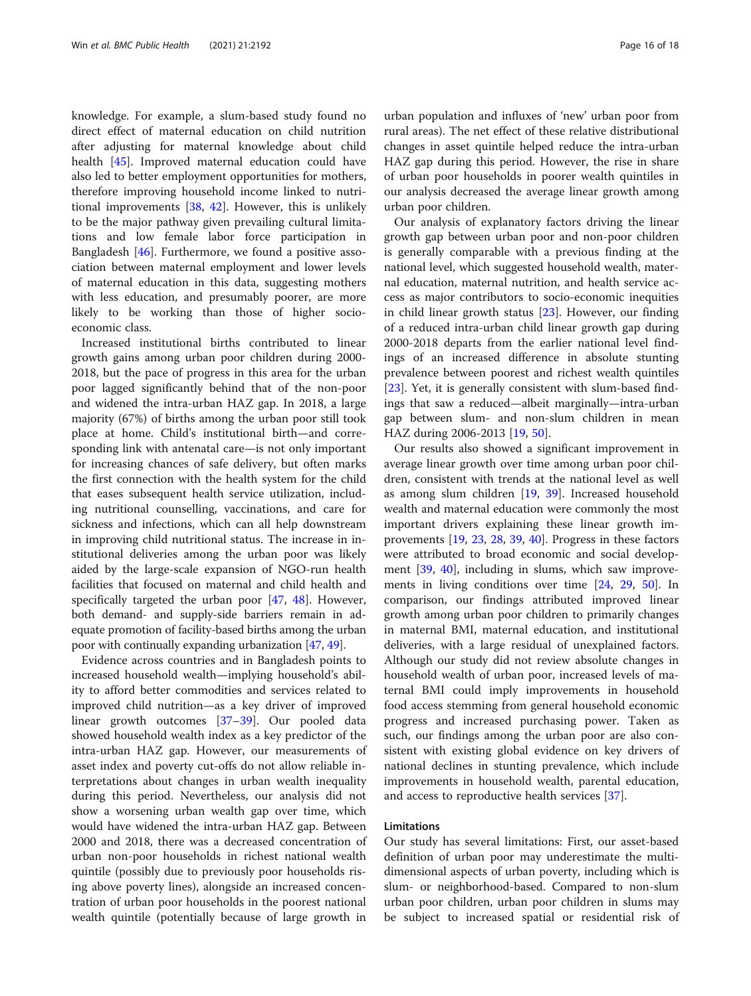knowledge. For example, a slum-based study found no direct effect of maternal education on child nutrition after adjusting for maternal knowledge about child health [[45](#page-17-0)]. Improved maternal education could have also led to better employment opportunities for mothers, therefore improving household income linked to nutritional improvements [\[38,](#page-17-0) [42](#page-17-0)]. However, this is unlikely to be the major pathway given prevailing cultural limitations and low female labor force participation in Bangladesh [\[46](#page-17-0)]. Furthermore, we found a positive association between maternal employment and lower levels of maternal education in this data, suggesting mothers with less education, and presumably poorer, are more likely to be working than those of higher socioeconomic class.

Increased institutional births contributed to linear growth gains among urban poor children during 2000- 2018, but the pace of progress in this area for the urban poor lagged significantly behind that of the non-poor and widened the intra-urban HAZ gap. In 2018, a large majority (67%) of births among the urban poor still took place at home. Child's institutional birth—and corresponding link with antenatal care—is not only important for increasing chances of safe delivery, but often marks the first connection with the health system for the child that eases subsequent health service utilization, including nutritional counselling, vaccinations, and care for sickness and infections, which can all help downstream in improving child nutritional status. The increase in institutional deliveries among the urban poor was likely aided by the large-scale expansion of NGO-run health facilities that focused on maternal and child health and specifically targeted the urban poor [[47,](#page-17-0) [48](#page-17-0)]. However, both demand- and supply-side barriers remain in adequate promotion of facility-based births among the urban poor with continually expanding urbanization [\[47,](#page-17-0) [49](#page-17-0)].

Evidence across countries and in Bangladesh points to increased household wealth—implying household's ability to afford better commodities and services related to improved child nutrition—as a key driver of improved linear growth outcomes [[37](#page-17-0)–[39](#page-17-0)]. Our pooled data showed household wealth index as a key predictor of the intra-urban HAZ gap. However, our measurements of asset index and poverty cut-offs do not allow reliable interpretations about changes in urban wealth inequality during this period. Nevertheless, our analysis did not show a worsening urban wealth gap over time, which would have widened the intra-urban HAZ gap. Between 2000 and 2018, there was a decreased concentration of urban non-poor households in richest national wealth quintile (possibly due to previously poor households rising above poverty lines), alongside an increased concentration of urban poor households in the poorest national wealth quintile (potentially because of large growth in

urban population and influxes of 'new' urban poor from rural areas). The net effect of these relative distributional changes in asset quintile helped reduce the intra-urban HAZ gap during this period. However, the rise in share of urban poor households in poorer wealth quintiles in our analysis decreased the average linear growth among urban poor children.

Our analysis of explanatory factors driving the linear growth gap between urban poor and non-poor children is generally comparable with a previous finding at the national level, which suggested household wealth, maternal education, maternal nutrition, and health service access as major contributors to socio-economic inequities in child linear growth status [\[23](#page-17-0)]. However, our finding of a reduced intra-urban child linear growth gap during 2000-2018 departs from the earlier national level findings of an increased difference in absolute stunting prevalence between poorest and richest wealth quintiles [[23\]](#page-17-0). Yet, it is generally consistent with slum-based findings that saw a reduced—albeit marginally—intra-urban gap between slum- and non-slum children in mean HAZ during 2006-2013 [\[19,](#page-17-0) [50\]](#page-17-0).

Our results also showed a significant improvement in average linear growth over time among urban poor children, consistent with trends at the national level as well as among slum children [\[19,](#page-17-0) [39\]](#page-17-0). Increased household wealth and maternal education were commonly the most important drivers explaining these linear growth improvements [[19,](#page-17-0) [23,](#page-17-0) [28](#page-17-0), [39](#page-17-0), [40](#page-17-0)]. Progress in these factors were attributed to broad economic and social development [\[39](#page-17-0), [40](#page-17-0)], including in slums, which saw improvements in living conditions over time [[24](#page-17-0), [29,](#page-17-0) [50](#page-17-0)]. In comparison, our findings attributed improved linear growth among urban poor children to primarily changes in maternal BMI, maternal education, and institutional deliveries, with a large residual of unexplained factors. Although our study did not review absolute changes in household wealth of urban poor, increased levels of maternal BMI could imply improvements in household food access stemming from general household economic progress and increased purchasing power. Taken as such, our findings among the urban poor are also consistent with existing global evidence on key drivers of national declines in stunting prevalence, which include improvements in household wealth, parental education, and access to reproductive health services [\[37](#page-17-0)].

# Limitations

Our study has several limitations: First, our asset-based definition of urban poor may underestimate the multidimensional aspects of urban poverty, including which is slum- or neighborhood-based. Compared to non-slum urban poor children, urban poor children in slums may be subject to increased spatial or residential risk of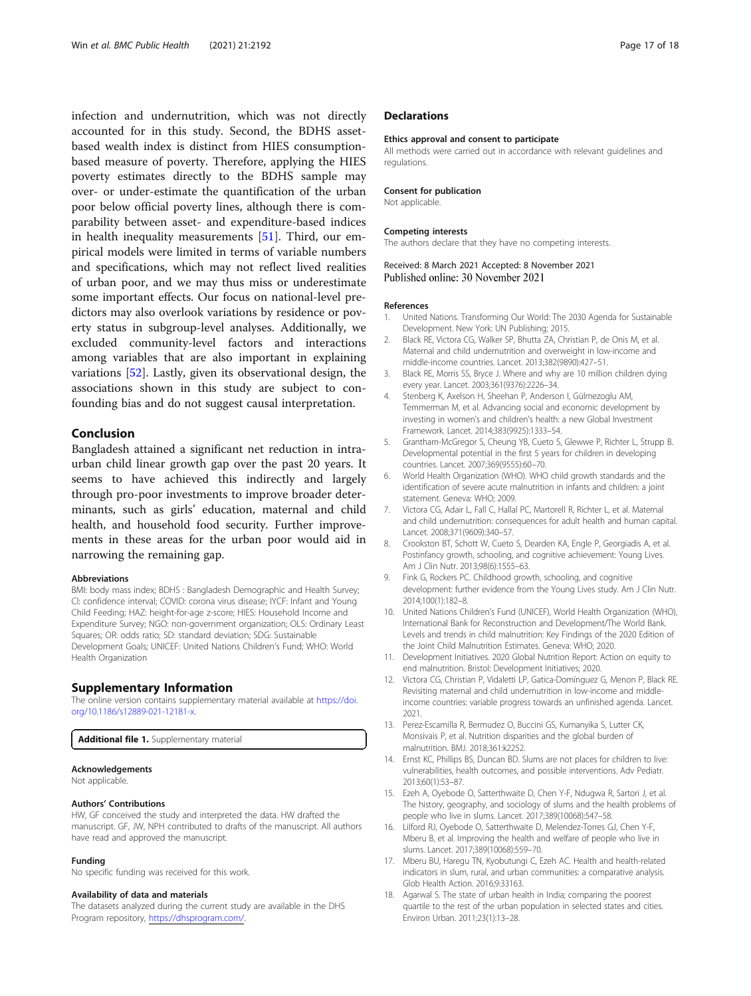<span id="page-16-0"></span>infection and undernutrition, which was not directly accounted for in this study. Second, the BDHS assetbased wealth index is distinct from HIES consumptionbased measure of poverty. Therefore, applying the HIES poverty estimates directly to the BDHS sample may over- or under-estimate the quantification of the urban poor below official poverty lines, although there is comparability between asset- and expenditure-based indices in health inequality measurements [[51\]](#page-17-0). Third, our empirical models were limited in terms of variable numbers and specifications, which may not reflect lived realities of urban poor, and we may thus miss or underestimate some important effects. Our focus on national-level predictors may also overlook variations by residence or poverty status in subgroup-level analyses. Additionally, we excluded community-level factors and interactions among variables that are also important in explaining variations [[52\]](#page-17-0). Lastly, given its observational design, the associations shown in this study are subject to confounding bias and do not suggest causal interpretation.

# Conclusion

Bangladesh attained a significant net reduction in intraurban child linear growth gap over the past 20 years. It seems to have achieved this indirectly and largely through pro-poor investments to improve broader determinants, such as girls' education, maternal and child health, and household food security. Further improvements in these areas for the urban poor would aid in narrowing the remaining gap.

#### Abbreviations

BMI: body mass index; BDHS : Bangladesh Demographic and Health Survey; CI: confidence interval; COVID: corona virus disease; IYCF: Infant and Young Child Feeding; HAZ: height-for-age z-score; HIES: Household Income and Expenditure Survey; NGO: non-government organization; OLS: Ordinary Least Squares; OR: odds ratio; SD: standard deviation; SDG: Sustainable Development Goals; UNICEF: United Nations Children's Fund; WHO: World Health Organization

### Supplementary Information

The online version contains supplementary material available at [https://doi.](https://doi.org/10.1186/s12889-021-12181-x) [org/10.1186/s12889-021-12181-x](https://doi.org/10.1186/s12889-021-12181-x).

Additional file 1. Supplementary material

#### Acknowledgements

Not applicable.

#### Authors' Contributions

HW, GF conceived the study and interpreted the data. HW drafted the manuscript. GF, JW, NPH contributed to drafts of the manuscript. All authors have read and approved the manuscript.

#### Funding

No specific funding was received for this work.

### Availability of data and materials

The datasets analyzed during the current study are available in the DHS Program repository, [https://dhsprogram.com/.](https://dhsprogram.com/)

# **Declarations**

#### Ethics approval and consent to participate

All methods were carried out in accordance with relevant guidelines and regulations.

## Consent for publication

Not applicable.

#### Competing interests

The authors declare that they have no competing interests.

# Received: 8 March 2021 Accepted: 8 November 2021 Published online: 30 November 2021

#### References

- 1. United Nations. Transforming Our World: The 2030 Agenda for Sustainable Development. New York: UN Publishing; 2015.
- 2. Black RE, Victora CG, Walker SP, Bhutta ZA, Christian P, de Onis M, et al. Maternal and child undernutrition and overweight in low-income and middle-income countries. Lancet. 2013;382(9890):427–51.
- 3. Black RE, Morris SS, Bryce J. Where and why are 10 million children dying every year. Lancet. 2003;361(9376):2226–34.
- 4. Stenberg K, Axelson H, Sheehan P, Anderson I, Gülmezoglu AM, Temmerman M, et al. Advancing social and economic development by investing in women's and children's health: a new Global Investment Framework. Lancet. 2014;383(9925):1333–54.
- 5. Grantham-McGregor S, Cheung YB, Cueto S, Glewwe P, Richter L, Strupp B. Developmental potential in the first 5 years for children in developing countries. Lancet. 2007;369(9555):60–70.
- 6. World Health Organization (WHO). WHO child growth standards and the identification of severe acute malnutrition in infants and children: a joint statement. Geneva: WHO; 2009.
- 7. Victora CG, Adair L, Fall C, Hallal PC, Martorell R, Richter L, et al. Maternal and child undernutrition: consequences for adult health and human capital. Lancet. 2008;371(9609):340–57.
- 8. Crookston BT, Schott W, Cueto S, Dearden KA, Engle P, Georgiadis A, et al. Postinfancy growth, schooling, and cognitive achievement: Young Lives. Am J Clin Nutr. 2013;98(6):1555–63.
- Fink G, Rockers PC. Childhood growth, schooling, and cognitive development: further evidence from the Young Lives study. Am J Clin Nutr. 2014;100(1):182–8.
- 10. United Nations Children's Fund (UNICEF), World Health Organization (WHO), International Bank for Reconstruction and Development/The World Bank. Levels and trends in child malnutrition: Key Findings of the 2020 Edition of the Joint Child Malnutrition Estimates. Geneva: WHO; 2020.
- 11. Development Initiatives. 2020 Global Nutrition Report: Action on equity to end malnutrition. Bristol: Development Initiatives; 2020.
- 12. Victora CG, Christian P, Vidaletti LP, Gatica-Domínguez G, Menon P, Black RE. Revisiting maternal and child undernutrition in low-income and middleincome countries: variable progress towards an unfinished agenda. Lancet. 2021.
- 13. Perez-Escamilla R, Bermudez O, Buccini GS, Kumanyika S, Lutter CK, Monsivais P, et al. Nutrition disparities and the global burden of malnutrition. BMJ. 2018;361:k2252.
- 14. Ernst KC, Phillips BS, Duncan BD. Slums are not places for children to live: vulnerabilities, health outcomes, and possible interventions. Adv Pediatr. 2013;60(1):53–87.
- 15. Ezeh A, Oyebode O, Satterthwaite D, Chen Y-F, Ndugwa R, Sartori J, et al. The history, geography, and sociology of slums and the health problems of people who live in slums. Lancet. 2017;389(10068):547–58.
- 16. Lilford RJ, Oyebode O, Satterthwaite D, Melendez-Torres GJ, Chen Y-F, Mberu B, et al. Improving the health and welfare of people who live in slums. Lancet. 2017;389(10068):559–70.
- 17. Mberu BU, Haregu TN, Kyobutungi C, Ezeh AC. Health and health-related indicators in slum, rural, and urban communities: a comparative analysis. Glob Health Action. 2016;9:33163.
- 18. Agarwal S. The state of urban health in India; comparing the poorest quartile to the rest of the urban population in selected states and cities. Environ Urban. 2011;23(1):13–28.